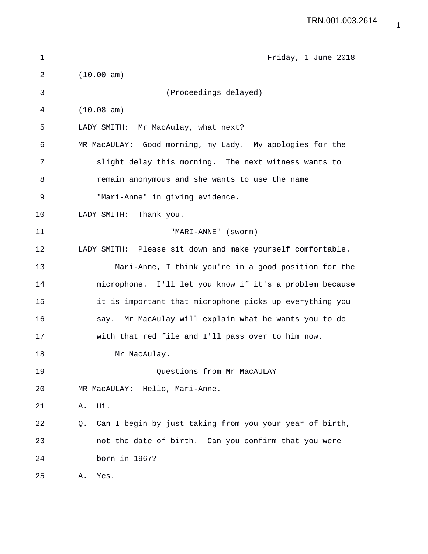| $\mathbf 1$ | Friday, 1 June 2018                                           |
|-------------|---------------------------------------------------------------|
| 2           | (10.00 am)                                                    |
| 3           | (Proceedings delayed)                                         |
| 4           | (10.08 am)                                                    |
| 5           | LADY SMITH: Mr MacAulay, what next?                           |
| 6           | MR MacAULAY: Good morning, my Lady. My apologies for the      |
| 7           | slight delay this morning. The next witness wants to          |
| 8           | remain anonymous and she wants to use the name                |
| 9           | "Mari-Anne" in giving evidence.                               |
| 10          | LADY SMITH: Thank you.                                        |
| 11          | "MARI-ANNE" (sworn)                                           |
| 12          | LADY SMITH: Please sit down and make yourself comfortable.    |
| 13          | Mari-Anne, I think you're in a good position for the          |
| 14          | microphone. I'll let you know if it's a problem because       |
| 15          | it is important that microphone picks up everything you       |
| 16          | say. Mr MacAulay will explain what he wants you to do         |
| 17          | with that red file and I'll pass over to him now.             |
| 18          | Mr MacAulay.                                                  |
| 19          | Questions from Mr MacAULAY                                    |
| 20          | MR MacAULAY: Hello, Mari-Anne.                                |
| 21          | Hi.<br>Α.                                                     |
| 22          | Can I begin by just taking from you your year of birth,<br>Q. |
| 23          | not the date of birth. Can you confirm that you were          |
| 24          | born in 1967?                                                 |
| 25          | Yes.<br>Α.                                                    |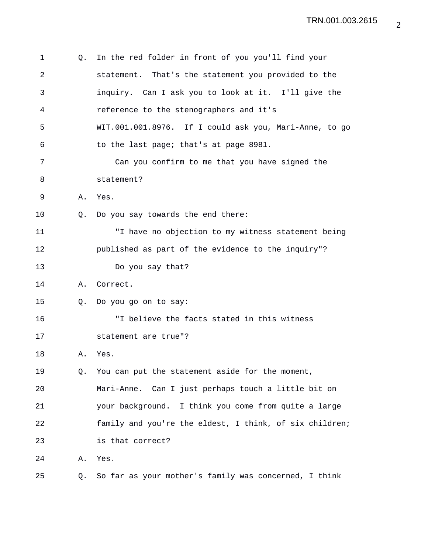| 1  | Q. | In the red folder in front of you you'll find your      |
|----|----|---------------------------------------------------------|
| 2  |    | statement. That's the statement you provided to the     |
| 3  |    | inquiry. Can I ask you to look at it. I'll give the     |
| 4  |    | reference to the stenographers and it's                 |
| 5  |    | WIT.001.001.8976. If I could ask you, Mari-Anne, to go  |
| 6  |    | to the last page; that's at page 8981.                  |
| 7  |    | Can you confirm to me that you have signed the          |
| 8  |    | statement?                                              |
| 9  | Α. | Yes.                                                    |
| 10 | O. | Do you say towards the end there:                       |
| 11 |    | "I have no objection to my witness statement being      |
| 12 |    | published as part of the evidence to the inquiry"?      |
| 13 |    | Do you say that?                                        |
| 14 | Α. | Correct.                                                |
| 15 | Q. | Do you go on to say:                                    |
| 16 |    | "I believe the facts stated in this witness             |
| 17 |    | statement are true"?                                    |
| 18 | Α. | Yes.                                                    |
| 19 | Q. | You can put the statement aside for the moment,         |
| 20 |    | Mari-Anne. Can I just perhaps touch a little bit on     |
| 21 |    | your background. I think you come from quite a large    |
| 22 |    | family and you're the eldest, I think, of six children; |
| 23 |    | is that correct?                                        |
| 24 | Α. | Yes.                                                    |
| 25 | Q. | So far as your mother's family was concerned, I think   |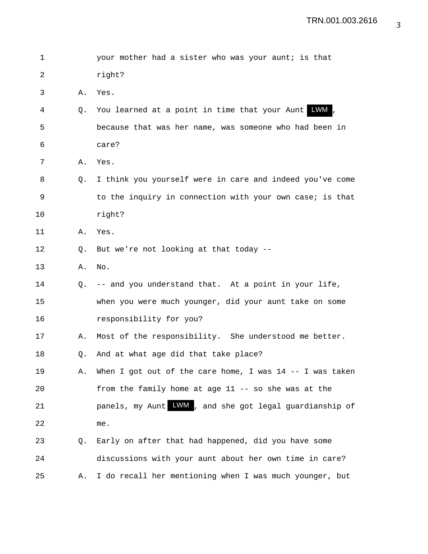| 1  |    | your mother had a sister who was your aunt; is that        |
|----|----|------------------------------------------------------------|
| 2  |    | right?                                                     |
| 3  | Α. | Yes.                                                       |
| 4  | Q. | LWM,<br>You learned at a point in time that your Aunt      |
| 5  |    | because that was her name, was someone who had been in     |
| 6  |    | care?                                                      |
| 7  | Α. | Yes.                                                       |
| 8  | O. | I think you yourself were in care and indeed you've come   |
| 9  |    | to the inquiry in connection with your own case; is that   |
| 10 |    | right?                                                     |
| 11 | Α. | Yes.                                                       |
| 12 | Q. | But we're not looking at that today --                     |
| 13 | Α. | No.                                                        |
| 14 | 0. | -- and you understand that. At a point in your life,       |
| 15 |    | when you were much younger, did your aunt take on some     |
| 16 |    | responsibility for you?                                    |
| 17 | Α. | Most of the responsibility. She understood me better.      |
| 18 | Q. | And at what age did that take place?                       |
| 19 | Α. | When I got out of the care home, I was $14$ -- I was taken |
| 20 |    | from the family home at age 11 -- so she was at the        |
| 21 |    | panels, my Aunt LWM, and she got legal guardianship of     |
| 22 |    | me.                                                        |
| 23 | Q. | Early on after that had happened, did you have some        |
| 24 |    | discussions with your aunt about her own time in care?     |
| 25 | Α. | I do recall her mentioning when I was much younger, but    |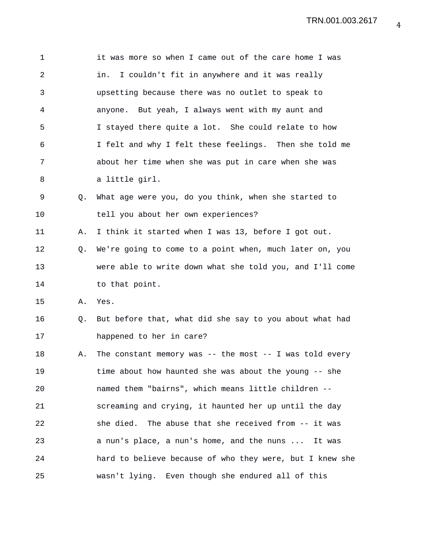| 1              |    | it was more so when I came out of the care home I was    |
|----------------|----|----------------------------------------------------------|
| $\overline{2}$ |    | I couldn't fit in anywhere and it was really<br>in.      |
| 3              |    | upsetting because there was no outlet to speak to        |
| 4              |    | anyone. But yeah, I always went with my aunt and         |
| 5              |    | I stayed there quite a lot. She could relate to how      |
| 6              |    | I felt and why I felt these feelings. Then she told me   |
| 7              |    | about her time when she was put in care when she was     |
| 8              |    | a little girl.                                           |
| 9              | 0. | What age were you, do you think, when she started to     |
| 10             |    | tell you about her own experiences?                      |
| 11             | Α. | I think it started when I was 13, before I got out.      |
| 12             | Q. | We're going to come to a point when, much later on, you  |
| 13             |    | were able to write down what she told you, and I'll come |
| 14             |    | to that point.                                           |
| 15             | Α. | Yes.                                                     |
| 16             | Q. | But before that, what did she say to you about what had  |
| 17             |    | happened to her in care?                                 |
| 18             | Α. | The constant memory was -- the most -- I was told every  |
| 19             |    | time about how haunted she was about the young -- she    |
| 20             |    | named them "bairns", which means little children --      |
| 21             |    | screaming and crying, it haunted her up until the day    |
| 22             |    | she died. The abuse that she received from -- it was     |
| 23             |    | a nun's place, a nun's home, and the nuns  It was        |
| 24             |    | hard to believe because of who they were, but I knew she |
| 25             |    | wasn't lying. Even though she endured all of this        |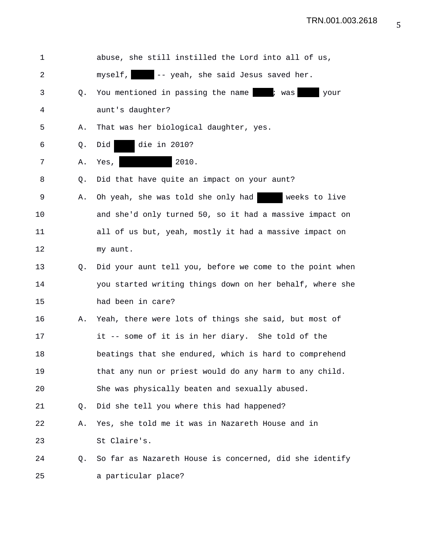| $\mathbf 1$ |    | abuse, she still instilled the Lord into all of us,      |
|-------------|----|----------------------------------------------------------|
| 2           |    | myself, -- yeah, she said Jesus saved her.               |
| 3           | O. | You mentioned in passing the name is was<br>your         |
| 4           |    | aunt's daughter?                                         |
| 5           | Α. | That was her biological daughter, yes.                   |
| 6           | Q. | die in 2010?<br>Did                                      |
| 7           | Α. | 2010.<br>Yes,                                            |
| 8           | Q. | Did that have quite an impact on your aunt?              |
| 9           | Α. | weeks to live<br>Oh yeah, she was told she only had      |
| 10          |    | and she'd only turned 50, so it had a massive impact on  |
| 11          |    | all of us but, yeah, mostly it had a massive impact on   |
| 12          |    | my aunt.                                                 |
| 13          | Q. | Did your aunt tell you, before we come to the point when |
| 14          |    | you started writing things down on her behalf, where she |
| 15          |    | had been in care?                                        |
| 16          | Α. | Yeah, there were lots of things she said, but most of    |
| 17          |    | it -- some of it is in her diary. She told of the        |
| 18          |    | beatings that she endured, which is hard to comprehend   |
| 19          |    | that any nun or priest would do any harm to any child.   |
| 20          |    | She was physically beaten and sexually abused.           |
| 21          | O. | Did she tell you where this had happened?                |
| 22          | Α. | Yes, she told me it was in Nazareth House and in         |
| 23          |    | St Claire's.                                             |
| 24          | Q. | So far as Nazareth House is concerned, did she identify  |
| 25          |    | a particular place?                                      |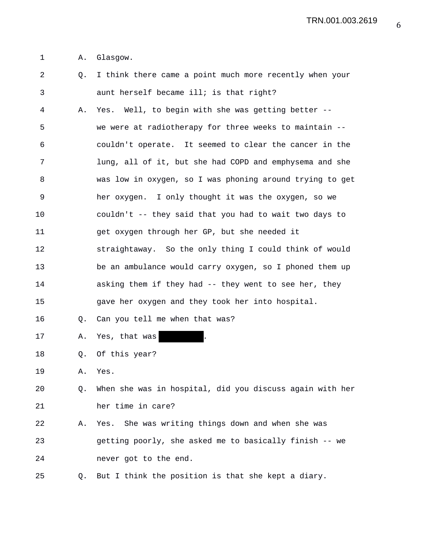TRN.001.003.2619

1 A. Glasgow.

2 Q. I think there came a point much more recently when your 3 aunt herself became ill; is that right? 4 A. Yes. Well, to begin with she was getting better -- 5 we were at radiotherapy for three weeks to maintain -- 6 couldn't operate. It seemed to clear the cancer in the 7 lung, all of it, but she had COPD and emphysema and she 8 was low in oxygen, so I was phoning around trying to get 9 her oxygen. I only thought it was the oxygen, so we 10 couldn't -- they said that you had to wait two days to 11 get oxygen through her GP, but she needed it 12 straightaway. So the only thing I could think of would 13 be an ambulance would carry oxygen, so I phoned them up 14 asking them if they had -- they went to see her, they 15 gave her oxygen and they took her into hospital. 16 Q. Can you tell me when that was? 17 A. Yes, that was 18 Q. Of this year? 19 A. Yes. 20 Q. When she was in hospital, did you discuss again with her 21 her time in care? 22 A. Yes. She was writing things down and when she was 23 getting poorly, she asked me to basically finish -- we 24 never got to the end. 25 Q. But I think the position is that she kept a diary.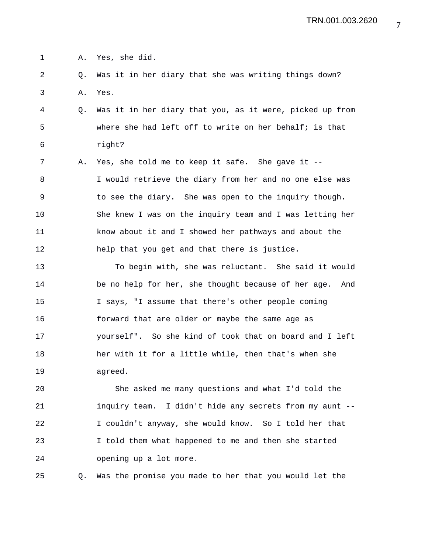1 A. Yes, she did.

2 Q. Was it in her diary that she was writing things down? 3 A. Yes.

4 Q. Was it in her diary that you, as it were, picked up from 5 where she had left off to write on her behalf; is that 6 right?

7 A. Yes, she told me to keep it safe. She gave it -- 8 I would retrieve the diary from her and no one else was 9 to see the diary. She was open to the inquiry though. 10 She knew I was on the inquiry team and I was letting her 11 know about it and I showed her pathways and about the 12 help that you get and that there is justice.

13 To begin with, she was reluctant. She said it would 14 be no help for her, she thought because of her age. And 15 I says, "I assume that there's other people coming 16 forward that are older or maybe the same age as 17 yourself". So she kind of took that on board and I left 18 her with it for a little while, then that's when she 19 agreed.

20 She asked me many questions and what I'd told the 21 inquiry team. I didn't hide any secrets from my aunt -- 22 I couldn't anyway, she would know. So I told her that 23 I told them what happened to me and then she started 24 opening up a lot more.

25 Q. Was the promise you made to her that you would let the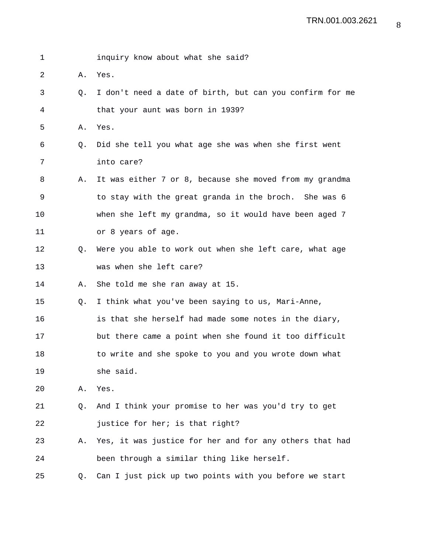1 inquiry know about what she said? 2 A. Yes. 3 Q. I don't need a date of birth, but can you confirm for me 4 that your aunt was born in 1939? 5 A. Yes. 6 Q. Did she tell you what age she was when she first went 7 into care? 8 A. It was either 7 or 8, because she moved from my grandma 9 to stay with the great granda in the broch. She was 6 10 when she left my grandma, so it would have been aged 7 11 or 8 years of age. 12 Q. Were you able to work out when she left care, what age 13 was when she left care? 14 A. She told me she ran away at 15. 15 Q. I think what you've been saying to us, Mari-Anne, 16 is that she herself had made some notes in the diary, 17 but there came a point when she found it too difficult 18 to write and she spoke to you and you wrote down what 19 she said. 20 A. Yes. 21 Q. And I think your promise to her was you'd try to get 22 justice for her; is that right? 23 A. Yes, it was justice for her and for any others that had 24 been through a similar thing like herself. 25 Q. Can I just pick up two points with you before we start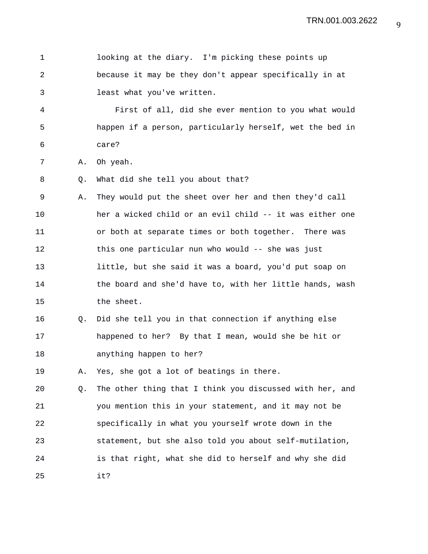1 looking at the diary. I'm picking these points up 2 because it may be they don't appear specifically in at 3 least what you've written. 4 First of all, did she ever mention to you what would 5 happen if a person, particularly herself, wet the bed in 6 care? 7 A. Oh yeah. 8 Q. What did she tell you about that? 9 A. They would put the sheet over her and then they'd call 10 her a wicked child or an evil child -- it was either one 11 or both at separate times or both together. There was 12 this one particular nun who would -- she was just 13 little, but she said it was a board, you'd put soap on 14 the board and she'd have to, with her little hands, wash 15 the sheet. 16 Q. Did she tell you in that connection if anything else 17 happened to her? By that I mean, would she be hit or 18 anything happen to her? 19 A. Yes, she got a lot of beatings in there. 20 Q. The other thing that I think you discussed with her, and 21 you mention this in your statement, and it may not be 22 specifically in what you yourself wrote down in the 23 statement, but she also told you about self-mutilation, 24 is that right, what she did to herself and why she did 25 it?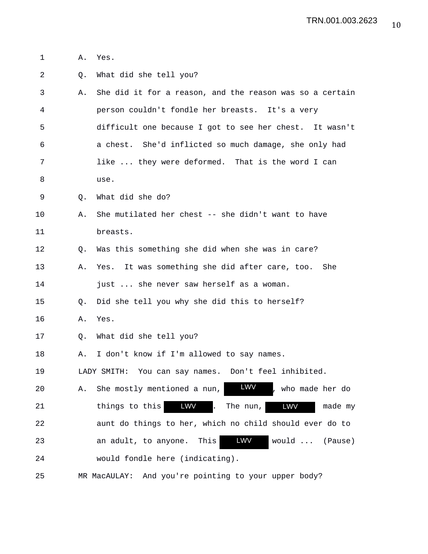- 1 A. Yes.
- 2 Q. What did she tell you?
- 3 A. She did it for a reason, and the reason was so a certain 4 person couldn't fondle her breasts. It's a very 5 difficult one because I got to see her chest. It wasn't 6 a chest. She'd inflicted so much damage, she only had 7 like ... they were deformed. That is the word I can 8 use.
- 9 Q. What did she do?
- 10 A. She mutilated her chest -- she didn't want to have 11 breasts.
- 12 Q. Was this something she did when she was in care?
- 13 A. Yes. It was something she did after care, too. She 14 just ... she never saw herself as a woman.
- 15 Q. Did she tell you why she did this to herself?
- 16 A. Yes.
- 17 Q. What did she tell you?
- 18 A. I don't know if I'm allowed to say names.

19 LADY SMITH: You can say names. Don't feel inhibited.

20 A. She mostly mentioned a nun, **LWV**, who made her do 21 things to this 1900 WW . The nun, 1900 WW made my 22 aunt do things to her, which no child should ever do to 23 an adult, to anyone. This **LWW** would ... (Pause) 24 would fondle here (indicating). LWV LWV LWV LWV

25 MR MacAULAY: And you're pointing to your upper body?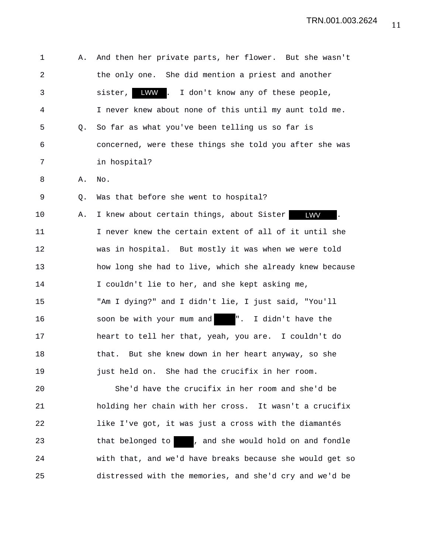1 A. And then her private parts, her flower. But she wasn't 2 the only one. She did mention a priest and another 3 sister, LWW . I don't know any of these people, 4 I never knew about none of this until my aunt told me. 5 Q. So far as what you've been telling us so far is 6 concerned, were these things she told you after she was 7 in hospital? 8 A. No. 9 Q. Was that before she went to hospital? 10 A. I knew about certain things, about Sister **LWV** . 11 I never knew the certain extent of all of it until she 12 was in hospital. But mostly it was when we were told 13 how long she had to live, which she already knew because 14 I couldn't lie to her, and she kept asking me, 15 "Am I dying?" and I didn't lie, I just said, "You'll 16 soon be with your mum and ". I didn't have the 17 heart to tell her that, yeah, you are. I couldn't do 18 that. But she knew down in her heart anyway, so she 19 just held on. She had the crucifix in her room. 20 She'd have the crucifix in her room and she'd be 21 holding her chain with her cross. It wasn't a crucifix 22 like I've got, it was just a cross with the diamantés 23 that belonged to , and she would hold on and fondle 24 with that, and we'd have breaks because she would get so 25 distressed with the memories, and she'd cry and we'd be LWW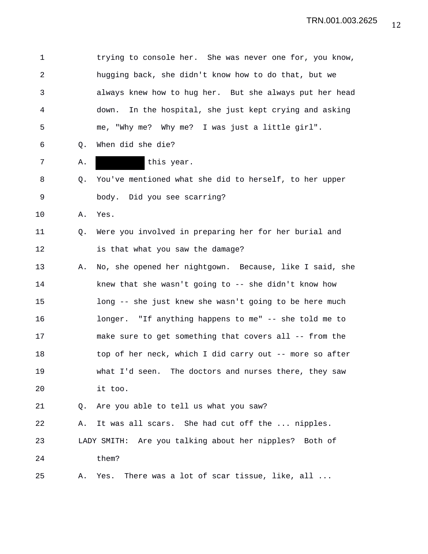1 trying to console her. She was never one for, you know, 2 hugging back, she didn't know how to do that, but we 3 always knew how to hug her. But she always put her head 4 down. In the hospital, she just kept crying and asking 5 me, "Why me? Why me? I was just a little girl". 6 Q. When did she die? 7 A. R. this year. 8 Q. You've mentioned what she did to herself, to her upper 9 body. Did you see scarring? 10 A. Yes. 11 Q. Were you involved in preparing her for her burial and 12 is that what you saw the damage? 13 A. No, she opened her nightgown. Because, like I said, she 14 knew that she wasn't going to -- she didn't know how 15 long -- she just knew she wasn't going to be here much 16 longer. "If anything happens to me" -- she told me to 17 make sure to get something that covers all -- from the 18 top of her neck, which I did carry out -- more so after 19 what I'd seen. The doctors and nurses there, they saw 20 it too. 21 Q. Are you able to tell us what you saw? 22 A. It was all scars. She had cut off the ... nipples. 23 LADY SMITH: Are you talking about her nipples? Both of 24 them? 25 A. Yes. There was a lot of scar tissue, like, all ...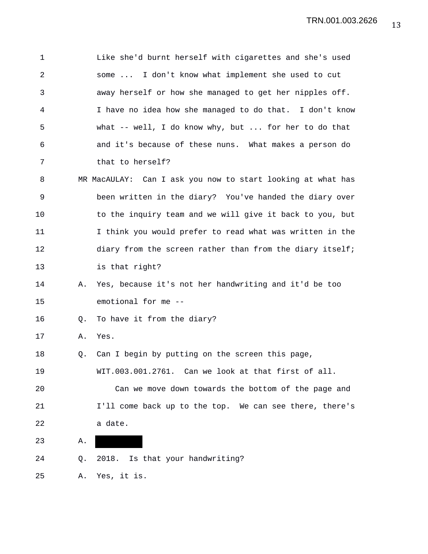| 1  |    | Like she'd burnt herself with cigarettes and she's used     |
|----|----|-------------------------------------------------------------|
| 2  |    | some  I don't know what implement she used to cut           |
| 3  |    | away herself or how she managed to get her nipples off.     |
| 4  |    | I have no idea how she managed to do that. I don't know     |
| 5  |    | what -- well, I do know why, but  for her to do that        |
| 6  |    | and it's because of these nuns. What makes a person do      |
| 7  |    | that to herself?                                            |
| 8  |    | MR MacAULAY: Can I ask you now to start looking at what has |
| 9  |    | been written in the diary? You've handed the diary over     |
| 10 |    | to the inquiry team and we will give it back to you, but    |
| 11 |    | I think you would prefer to read what was written in the    |
| 12 |    | diary from the screen rather than from the diary itself;    |
| 13 |    | is that right?                                              |
| 14 | Α. | Yes, because it's not her handwriting and it'd be too       |
| 15 |    | emotional for me --                                         |
| 16 | Q. | To have it from the diary?                                  |
| 17 | Α. | Yes.                                                        |
| 18 | Q. | Can I begin by putting on the screen this page,             |
| 19 |    | WIT.003.001.2761. Can we look at that first of all.         |
| 20 |    | Can we move down towards the bottom of the page and         |
| 21 |    | I'll come back up to the top. We can see there, there's     |
| 22 |    | a date.                                                     |
| 23 | Α. |                                                             |
| 24 | Q. | 2018. Is that your handwriting?                             |
| 25 | Α. | Yes, it is.                                                 |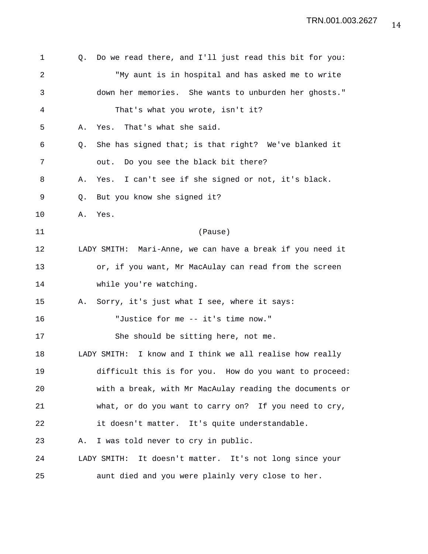| 1  |             | Q. Do we read there, and I'll just read this bit for you: |
|----|-------------|-----------------------------------------------------------|
| 2  |             | "My aunt is in hospital and has asked me to write         |
| 3  |             | down her memories. She wants to unburden her ghosts."     |
| 4  |             | That's what you wrote, isn't it?                          |
| 5  | Α.          | That's what she said.<br>Yes.                             |
| 6  | Q.          | She has signed that; is that right? We've blanked it      |
| 7  |             | out. Do you see the black bit there?                      |
| 8  | Α.          | Yes. I can't see if she signed or not, it's black.        |
| 9  | $Q_{\star}$ | But you know she signed it?                               |
| 10 | Α.          | Yes.                                                      |
| 11 |             | (Pause)                                                   |
| 12 |             | LADY SMITH: Mari-Anne, we can have a break if you need it |
| 13 |             | or, if you want, Mr MacAulay can read from the screen     |
| 14 |             | while you're watching.                                    |
| 15 | Α.          | Sorry, it's just what I see, where it says:               |
| 16 |             | "Justice for me -- it's time now."                        |
| 17 |             | She should be sitting here, not me.                       |
| 18 |             | LADY SMITH: I know and I think we all realise how really  |
| 19 |             | difficult this is for you. How do you want to proceed:    |
| 20 |             | with a break, with Mr MacAulay reading the documents or   |
| 21 |             | what, or do you want to carry on? If you need to cry,     |
| 22 |             | it doesn't matter. It's quite understandable.             |
| 23 | Α.          | I was told never to cry in public.                        |
| 24 |             | LADY SMITH: It doesn't matter. It's not long since your   |
| 25 |             | aunt died and you were plainly very close to her.         |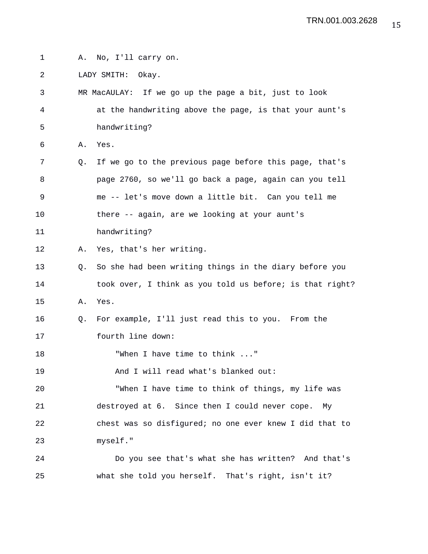1 A. No, I'll carry on.

2 LADY SMITH: Okay.

3 MR MacAULAY: If we go up the page a bit, just to look 4 at the handwriting above the page, is that your aunt's 5 handwriting? 6 A. Yes. 7 Q. If we go to the previous page before this page, that's 8 page 2760, so we'll go back a page, again can you tell 9 me -- let's move down a little bit. Can you tell me 10 there -- again, are we looking at your aunt's 11 handwriting? 12 A. Yes, that's her writing. 13 Q. So she had been writing things in the diary before you 14 took over, I think as you told us before; is that right? 15 A. Yes. 16 Q. For example, I'll just read this to you. From the 17 fourth line down: 18 TWhen I have time to think ..." 19 And I will read what's blanked out: 20 "When I have time to think of things, my life was 21 destroyed at 6. Since then I could never cope. My 22 chest was so disfigured; no one ever knew I did that to 23 myself." 24 Do you see that's what she has written? And that's

25 what she told you herself. That's right, isn't it?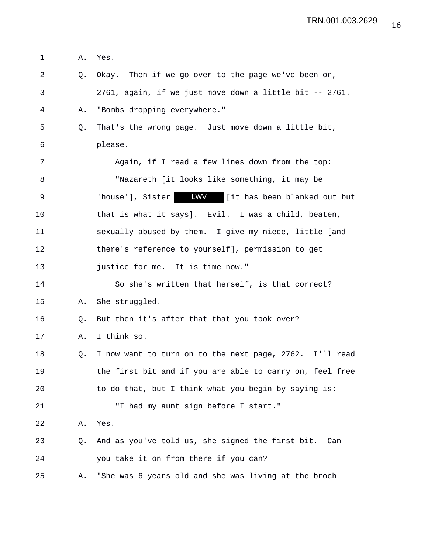1 A. Yes. 2 Q. Okay. Then if we go over to the page we've been on, 3 2761, again, if we just move down a little bit -- 2761. 4 A. "Bombs dropping everywhere." 5 Q. That's the wrong page. Just move down a little bit, 6 please. 7 Again, if I read a few lines down from the top: 8 "Nazareth [it looks like something, it may be 9 Thouse'], Sister **LWV** [it has been blanked out but 10 that is what it says]. Evil. I was a child, beaten, 11 sexually abused by them. I give my niece, little [and 12 there's reference to yourself], permission to get 13 justice for me. It is time now." 14 So she's written that herself, is that correct? 15 A. She struggled. 16 Q. But then it's after that that you took over? 17 A. I think so. 18 Q. I now want to turn on to the next page, 2762. I'll read 19 the first bit and if you are able to carry on, feel free 20 to do that, but I think what you begin by saying is: 21 "I had my aunt sign before I start." 22 A. Yes. 23 Q. And as you've told us, she signed the first bit. Can 24 you take it on from there if you can? 25 A. "She was 6 years old and she was living at the broch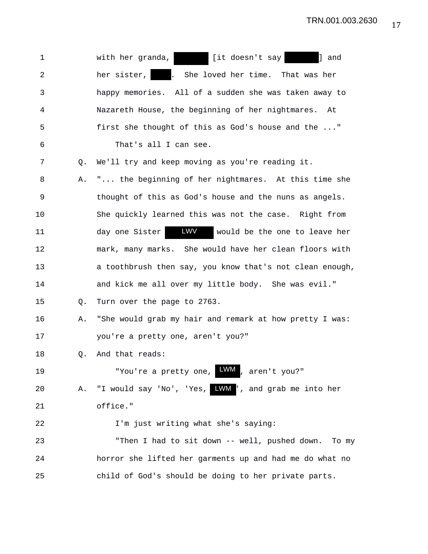| $\mathbf 1$    |    | [it doesn't say]<br>] and<br>with her granda,                           |
|----------------|----|-------------------------------------------------------------------------|
| $\overline{a}$ |    | her sister,  <br><b>Participate</b><br>She loved her time. That was her |
| 3              |    | happy memories. All of a sudden she was taken away to                   |
| 4              |    | Nazareth House, the beginning of her nightmares. At                     |
| 5              |    | first she thought of this as God's house and the "                      |
| 6              |    | That's all I can see.                                                   |
| 7              | Q. | We'll try and keep moving as you're reading it.                         |
| 8              | Α. | " the beginning of her nightmares. At this time she                     |
| 9              |    | thought of this as God's house and the nuns as angels.                  |
| 10             |    | She quickly learned this was not the case. Right from                   |
| 11             |    | <b>LWV</b><br>day one Sister<br>would be the one to leave her           |
| 12             |    | mark, many marks. She would have her clean floors with                  |
| 13             |    | a toothbrush then say, you know that's not clean enough,                |
| 14             |    | and kick me all over my little body. She was evil."                     |
| 15             | Q. | Turn over the page to 2763.                                             |
| 16             | Α. | "She would grab my hair and remark at how pretty I was:                 |
| 17             |    | you're a pretty one, aren't you?"                                       |
| 18             | Q. | And that reads:                                                         |
| 19             |    | "You're a pretty one, LWM, aren't you?"                                 |
| 20             | Α. | "I would say 'No', 'Yes, WWW', and grab me into her                     |
| 21             |    | office."                                                                |
| 22             |    | I'm just writing what she's saying:                                     |
| 23             |    | "Then I had to sit down -- well, pushed down.<br>To my                  |
| 24             |    | horror she lifted her garments up and had me do what no                 |
| 25             |    | child of God's should be doing to her private parts.                    |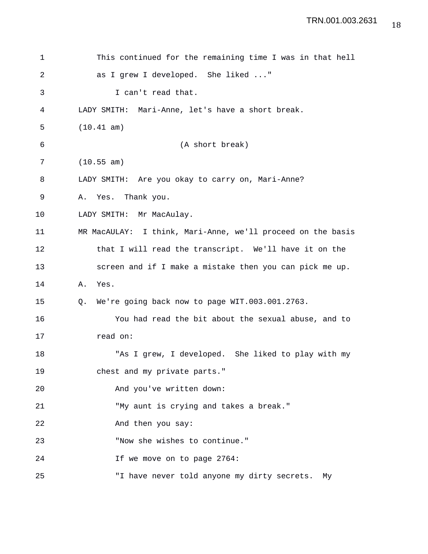```
1 This continued for the remaining time I was in that hell
2 as I grew I developed. She liked ..."
3 I can't read that.
4 LADY SMITH: Mari-Anne, let's have a short break.
5 (10.41 am)
6 (A short break)
7 (10.55 am)
8 LADY SMITH: Are you okay to carry on, Mari-Anne?
9 A. Yes. Thank you.
10 LADY SMITH: Mr MacAulay.
11 MR MacAULAY: I think, Mari-Anne, we'll proceed on the basis
12 that I will read the transcript. We'll have it on the
13 screen and if I make a mistake then you can pick me up.
14 A. Yes.
15 Q. We're going back now to page WIT.003.001.2763.
16 You had read the bit about the sexual abuse, and to
17 read on:
18 "As I grew, I developed. She liked to play with my
19 chest and my private parts."
20 And you've written down:
21 "My aunt is crying and takes a break."
22 And then you say:
23 "Now she wishes to continue."
24 If we move on to page 2764:
25 "I have never told anyone my dirty secrets. My
```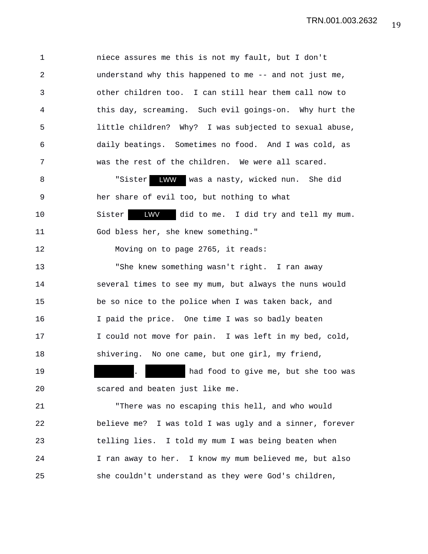1 niece assures me this is not my fault, but I don't 2 understand why this happened to me -- and not just me, 3 other children too. I can still hear them call now to 4 this day, screaming. Such evil goings-on. Why hurt the 5 little children? Why? I was subjected to sexual abuse, 6 daily beatings. Sometimes no food. And I was cold, as 7 was the rest of the children. We were all scared. 8 The Suiter LWW was a nasty, wicked nun. She did 9 her share of evil too, but nothing to what 10 Sister **LWV** did to me. I did try and tell my mum. 11 God bless her, she knew something." 12 Moving on to page 2765, it reads: 13 "She knew something wasn't right. I ran away 14 several times to see my mum, but always the nuns would 15 be so nice to the police when I was taken back, and 16 I paid the price. One time I was so badly beaten 17 I could not move for pain. I was left in my bed, cold, 18 shivering. No one came, but one girl, my friend, 19 . had food to give me, but she too was 20 scared and beaten just like me. 21 "There was no escaping this hell, and who would 22 believe me? I was told I was ugly and a sinner, forever 23 telling lies. I told my mum I was being beaten when 24 I ran away to her. I know my mum believed me, but also

25 she couldn't understand as they were God's children,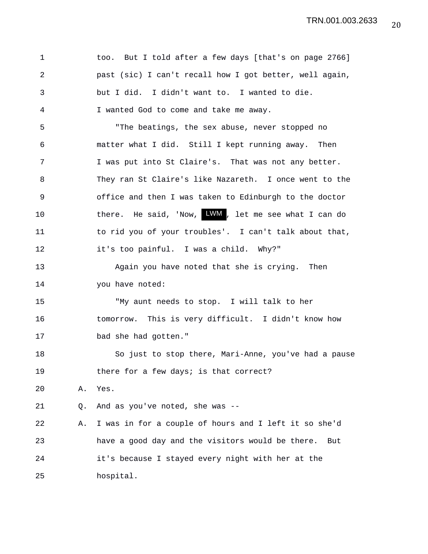| 1  |    | too. But I told after a few days [that's on page 2766]           |
|----|----|------------------------------------------------------------------|
| 2  |    | past (sic) I can't recall how I got better, well again,          |
| 3  |    | but I did. I didn't want to. I wanted to die.                    |
| 4  |    | I wanted God to come and take me away.                           |
| 5  |    | "The beatings, the sex abuse, never stopped no                   |
| 6  |    | matter what I did. Still I kept running away. Then               |
| 7  |    | I was put into St Claire's. That was not any better.             |
| 8  |    | They ran St Claire's like Nazareth. I once went to the           |
| 9  |    | office and then I was taken to Edinburgh to the doctor           |
| 10 |    | there. He said, 'Now, $\frac{1}{2}$ MM, let me see what I can do |
| 11 |    | to rid you of your troubles'. I can't talk about that,           |
| 12 |    | it's too painful. I was a child. Why?"                           |
| 13 |    | Again you have noted that she is crying. Then                    |
| 14 |    | you have noted:                                                  |
| 15 |    | "My aunt needs to stop. I will talk to her                       |
| 16 |    | tomorrow. This is very difficult. I didn't know how              |
| 17 |    | bad she had gotten."                                             |
| 18 |    | So just to stop there, Mari-Anne, you've had a pause             |
| 19 |    | there for a few days; is that correct?                           |
| 20 | Α. | Yes.                                                             |
| 21 | Q. | And as you've noted, she was --                                  |
| 22 | Α. | I was in for a couple of hours and I left it so she'd            |
| 23 |    | have a good day and the visitors would be there.<br>But          |
| 24 |    | it's because I stayed every night with her at the                |
| 25 |    | hospital.                                                        |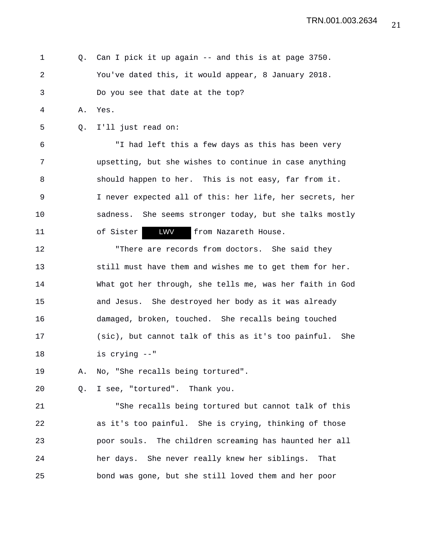1 Q. Can I pick it up again -- and this is at page 3750. 2 You've dated this, it would appear, 8 January 2018. 3 Do you see that date at the top?

4 A. Yes.

5 Q. I'll just read on:

6 "I had left this a few days as this has been very 7 upsetting, but she wishes to continue in case anything 8 should happen to her. This is not easy, far from it. 9 I never expected all of this: her life, her secrets, her 10 sadness. She seems stronger today, but she talks mostly 11 of Sister **LWV** from Nazareth House. LWV

12 "There are records from doctors. She said they 13 still must have them and wishes me to get them for her. 14 What got her through, she tells me, was her faith in God 15 and Jesus. She destroyed her body as it was already 16 damaged, broken, touched. She recalls being touched 17 (sic), but cannot talk of this as it's too painful. She 18 is crying --"

19 A. No, "She recalls being tortured".

20 Q. I see, "tortured". Thank you.

21 "She recalls being tortured but cannot talk of this 22 as it's too painful. She is crying, thinking of those 23 poor souls. The children screaming has haunted her all 24 her days. She never really knew her siblings. That 25 bond was gone, but she still loved them and her poor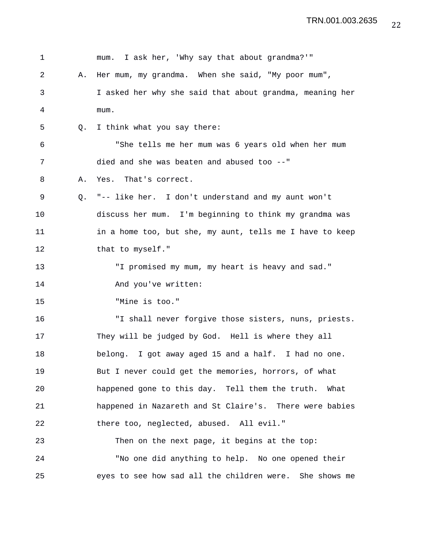| $\mathbf 1$    |    | I ask her, 'Why say that about grandma?'"<br>mum.        |
|----------------|----|----------------------------------------------------------|
| $\overline{2}$ | Α. | Her mum, my grandma. When she said, "My poor mum",       |
| 3              |    | I asked her why she said that about grandma, meaning her |
| 4              |    | mum.                                                     |
| 5              | Q. | I think what you say there:                              |
| 6              |    | "She tells me her mum was 6 years old when her mum       |
| 7              |    | died and she was beaten and abused too --"               |
| 8              | Α. | Yes. That's correct.                                     |
| 9              | Q. | "-- like her. I don't understand and my aunt won't       |
| 10             |    | discuss her mum. I'm beginning to think my grandma was   |
| 11             |    | in a home too, but she, my aunt, tells me I have to keep |
| 12             |    | that to myself."                                         |
| 13             |    | "I promised my mum, my heart is heavy and sad."          |
| 14             |    | And you've written:                                      |
| 15             |    | "Mine is too."                                           |
| 16             |    | "I shall never forgive those sisters, nuns, priests.     |
| 17             |    | They will be judged by God. Hell is where they all       |
| 18             |    | belong. I got away aged 15 and a half. I had no one.     |
| 19             |    | But I never could get the memories, horrors, of what     |
| 20             |    | happened gone to this day. Tell them the truth.<br>What  |
| 21             |    | happened in Nazareth and St Claire's. There were babies  |
| 22             |    | there too, neglected, abused. All evil."                 |
| 23             |    | Then on the next page, it begins at the top:             |
| 24             |    | "No one did anything to help. No one opened their        |
| 25             |    | eyes to see how sad all the children were. She shows me  |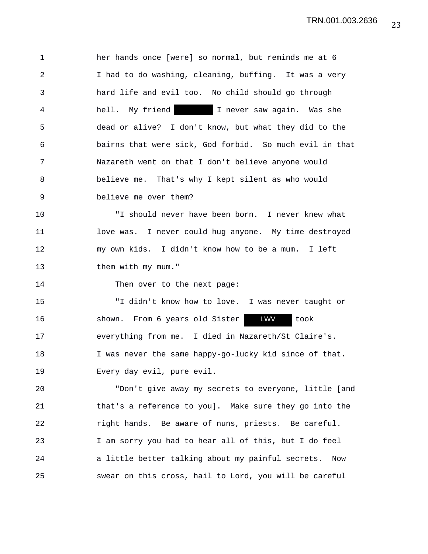1 her hands once [were] so normal, but reminds me at 6 2 I had to do washing, cleaning, buffing. It was a very 3 hard life and evil too. No child should go through 4 hell. My friend I never saw again. Was she 5 dead or alive? I don't know, but what they did to the 6 bairns that were sick, God forbid. So much evil in that 7 Nazareth went on that I don't believe anyone would 8 believe me. That's why I kept silent as who would 9 believe me over them?

10 "I should never have been born. I never knew what 11 love was. I never could hug anyone. My time destroyed 12 my own kids. I didn't know how to be a mum. I left 13 them with my mum."

14 Then over to the next page:

15 "I didn't know how to love. I was never taught or 16 shown. From 6 years old Sister **LWV** took 17 everything from me. I died in Nazareth/St Claire's. 18 I was never the same happy-go-lucky kid since of that. 19 Every day evil, pure evil. LWV

20 "Don't give away my secrets to everyone, little [and 21 that's a reference to you]. Make sure they go into the 22 right hands. Be aware of nuns, priests. Be careful. 23 I am sorry you had to hear all of this, but I do feel 24 a little better talking about my painful secrets. Now 25 swear on this cross, hail to Lord, you will be careful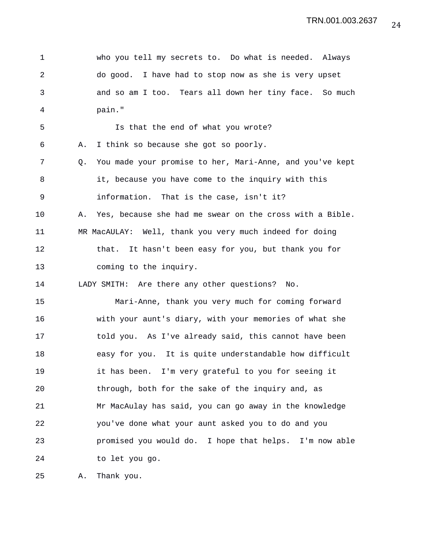1 who you tell my secrets to. Do what is needed. Always 2 do good. I have had to stop now as she is very upset 3 and so am I too. Tears all down her tiny face. So much 4 pain." 5 Is that the end of what you wrote? 6 A. I think so because she got so poorly. 7 Q. You made your promise to her, Mari-Anne, and you've kept 8 it, because you have come to the inquiry with this 9 information. That is the case, isn't it? 10 A. Yes, because she had me swear on the cross with a Bible. 11 MR MacAULAY: Well, thank you very much indeed for doing 12 that. It hasn't been easy for you, but thank you for 13 coming to the inquiry. 14 LADY SMITH: Are there any other questions? No. 15 Mari-Anne, thank you very much for coming forward 16 with your aunt's diary, with your memories of what she 17 told you. As I've already said, this cannot have been 18 easy for you. It is quite understandable how difficult 19 it has been. I'm very grateful to you for seeing it 20 through, both for the sake of the inquiry and, as 21 Mr MacAulay has said, you can go away in the knowledge 22 you've done what your aunt asked you to do and you 23 promised you would do. I hope that helps. I'm now able 24 to let you go.

25 A. Thank you.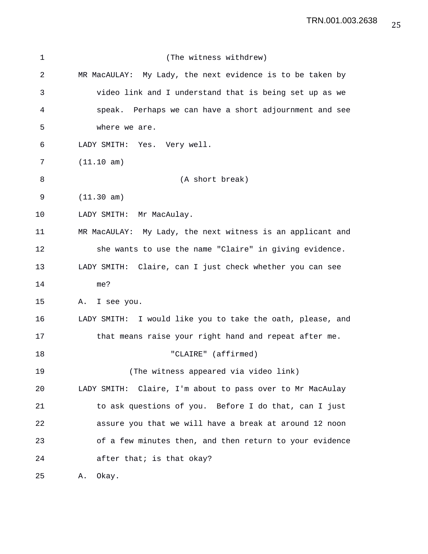| 1  | (The witness withdrew)                                     |
|----|------------------------------------------------------------|
| 2  | MR MacAULAY: My Lady, the next evidence is to be taken by  |
| 3  | video link and I understand that is being set up as we     |
| 4  | speak. Perhaps we can have a short adjournment and see     |
| 5  | where we are.                                              |
| 6  | LADY SMITH: Yes. Very well.                                |
| 7  | (11.10 am)                                                 |
| 8  | (A short break)                                            |
| 9  | (11.30 am)                                                 |
| 10 | LADY SMITH: Mr MacAulay.                                   |
| 11 | MR MacAULAY: My Lady, the next witness is an applicant and |
| 12 | she wants to use the name "Claire" in giving evidence.     |
| 13 | LADY SMITH: Claire, can I just check whether you can see   |
| 14 | me?                                                        |
| 15 | A. I see you.                                              |
| 16 | LADY SMITH: I would like you to take the oath, please, and |
| 17 | that means raise your right hand and repeat after me.      |
| 18 | "CLAIRE" (affirmed)                                        |
| 19 | (The witness appeared via video link)                      |
| 20 | LADY SMITH: Claire, I'm about to pass over to Mr MacAulay  |
| 21 | to ask questions of you. Before I do that, can I just      |
| 22 | assure you that we will have a break at around 12 noon     |
| 23 | of a few minutes then, and then return to your evidence    |
| 24 | after that; is that okay?                                  |
|    |                                                            |

25 A. Okay.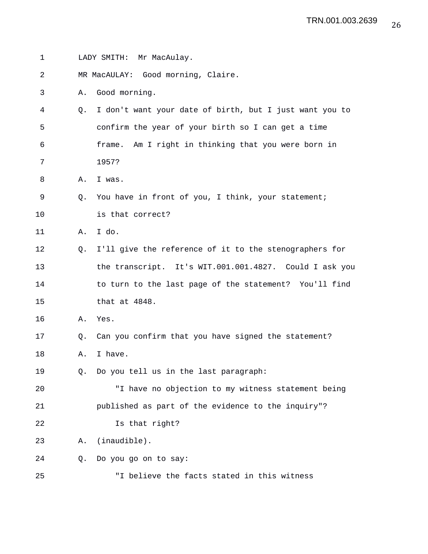| 1  |    | LADY SMITH: Mr MacAulay.                                |
|----|----|---------------------------------------------------------|
| 2  |    | MR MacAULAY: Good morning, Claire.                      |
| 3  | Α. | Good morning.                                           |
| 4  | Q. | I don't want your date of birth, but I just want you to |
| 5  |    | confirm the year of your birth so I can get a time      |
| 6  |    | frame. Am I right in thinking that you were born in     |
| 7  |    | 1957?                                                   |
| 8  | Α. | I was.                                                  |
| 9  | Q. | You have in front of you, I think, your statement;      |
| 10 |    | is that correct?                                        |
| 11 | Α. | I do.                                                   |
| 12 | O. | I'll give the reference of it to the stenographers for  |
| 13 |    | the transcript. It's WIT.001.001.4827. Could I ask you  |
| 14 |    | to turn to the last page of the statement? You'll find  |
| 15 |    | that at 4848.                                           |
| 16 | Α. | Yes.                                                    |
| 17 | Q. | Can you confirm that you have signed the statement?     |
| 18 | Α. | I have.                                                 |
| 19 | Q. | Do you tell us in the last paragraph:                   |
| 20 |    | "I have no objection to my witness statement being      |
| 21 |    | published as part of the evidence to the inquiry"?      |
| 22 |    | Is that right?                                          |
| 23 | Α. | (inaudible).                                            |
| 24 | Q. | Do you go on to say:                                    |
| 25 |    | "I believe the facts stated in this witness             |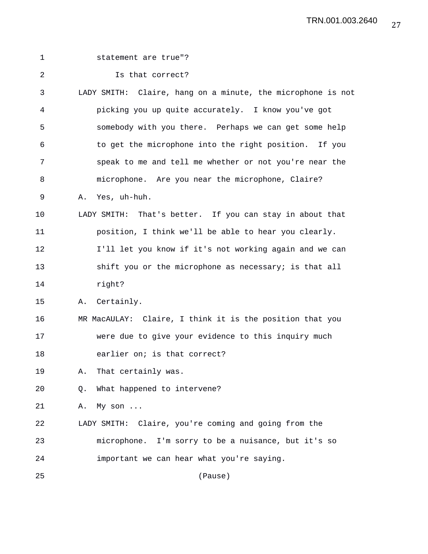|    | statement are true"?                                        |
|----|-------------------------------------------------------------|
|    | Is that correct?                                            |
|    | LADY SMITH: Claire, hang on a minute, the microphone is not |
|    | picking you up quite accurately. I know you've got          |
|    | somebody with you there. Perhaps we can get some help       |
|    | to get the microphone into the right position. If you       |
|    | speak to me and tell me whether or not you're near the      |
|    | microphone. Are you near the microphone, Claire?            |
| Α. | Yes, uh-huh.                                                |
|    | LADY SMITH: That's better. If you can stay in about that    |
|    | position, I think we'll be able to hear you clearly.        |
|    | I'll let you know if it's not working again and we can      |
|    | shift you or the microphone as necessary; is that all       |
|    | right?                                                      |
| Α. | Certainly.                                                  |
|    | MR MacAULAY: Claire, I think it is the position that you    |
|    | were due to give your evidence to this inquiry much         |
|    | earlier on; is that correct?                                |
| Α. | That certainly was.                                         |
| Q. | What happened to intervene?                                 |
| Α. | My son                                                      |
|    | LADY SMITH: Claire, you're coming and going from the        |
|    | microphone. I'm sorry to be a nuisance, but it's so         |
|    | important we can hear what you're saying.                   |
|    | (Pause)                                                     |
|    |                                                             |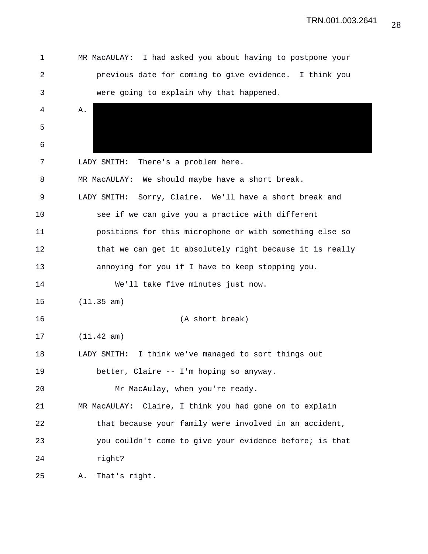| 1  | MR MacAULAY: I had asked you about having to postpone your |
|----|------------------------------------------------------------|
| 2  | previous date for coming to give evidence. I think you     |
| 3  | were going to explain why that happened.                   |
| 4  | Α.                                                         |
| 5  |                                                            |
| 6  |                                                            |
| 7  | There's a problem here.<br>LADY SMITH:                     |
| 8  | MR MacAULAY: We should maybe have a short break.           |
| 9  | LADY SMITH: Sorry, Claire. We'll have a short break and    |
| 10 | see if we can give you a practice with different           |
| 11 | positions for this microphone or with something else so    |
| 12 | that we can get it absolutely right because it is really   |
| 13 | annoying for you if I have to keep stopping you.           |
| 14 | We'll take five minutes just now.                          |
| 15 | (11.35 am)                                                 |
| 16 | (A short break)                                            |
| 17 | (11.42 am)                                                 |
| 18 | LADY SMITH: I think we've managed to sort things out       |
| 19 | better, Claire -- I'm hoping so anyway.                    |
| 20 | Mr MacAulay, when you're ready.                            |
| 21 | MR MacAULAY: Claire, I think you had gone on to explain    |
| 22 | that because your family were involved in an accident,     |
| 23 | you couldn't come to give your evidence before; is that    |
| 24 | right?                                                     |
| 25 | That's right.<br>Α.                                        |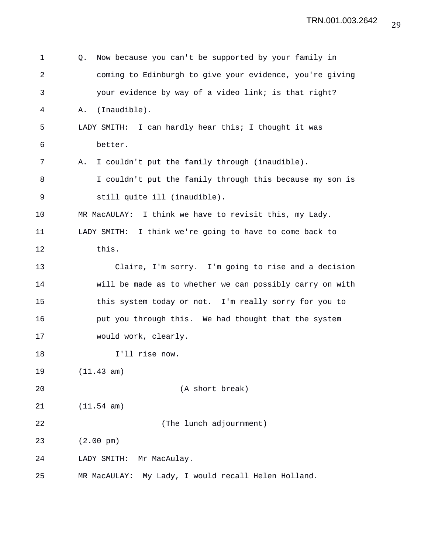| 1  | Now because you can't be supported by your family in<br>Q. |
|----|------------------------------------------------------------|
| 2  | coming to Edinburgh to give your evidence, you're giving   |
| 3  | your evidence by way of a video link; is that right?       |
| 4  | (Inaudible).<br>Α.                                         |
| 5  | LADY SMITH: I can hardly hear this; I thought it was       |
| 6  | better.                                                    |
| 7  | I couldn't put the family through (inaudible).<br>Α.       |
| 8  | I couldn't put the family through this because my son is   |
| 9  | still quite ill (inaudible).                               |
| 10 | MR MacAULAY: I think we have to revisit this, my Lady.     |
| 11 | LADY SMITH:<br>I think we're going to have to come back to |
| 12 | this.                                                      |
| 13 | Claire, I'm sorry. I'm going to rise and a decision        |
| 14 | will be made as to whether we can possibly carry on with   |
| 15 | this system today or not. I'm really sorry for you to      |
| 16 | put you through this. We had thought that the system       |
| 17 | would work, clearly.                                       |
| 18 | I'll rise now.                                             |
| 19 | (11.43 am)                                                 |
| 20 | (A short break)                                            |
| 21 | (11.54 am)                                                 |
| 22 | (The lunch adjournment)                                    |
| 23 | $(2.00 \text{ pm})$                                        |
| 24 | Mr MacAulay.<br>LADY SMITH:                                |
| 25 | My Lady, I would recall Helen Holland.<br>MR MacAULAY:     |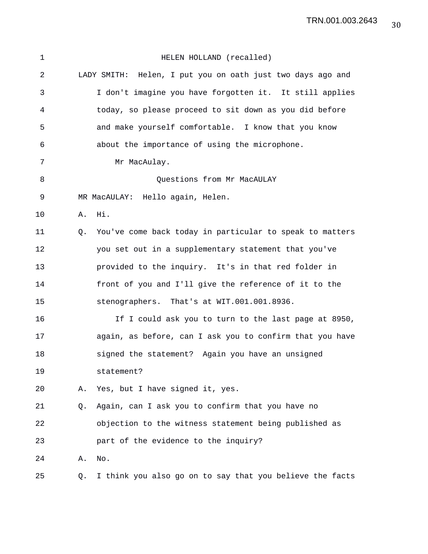| $\mathbf 1$    |    | HELEN HOLLAND (recalled)                                   |
|----------------|----|------------------------------------------------------------|
| $\overline{2}$ |    | LADY SMITH: Helen, I put you on oath just two days ago and |
| 3              |    | I don't imagine you have forgotten it. It still applies    |
| 4              |    | today, so please proceed to sit down as you did before     |
| 5              |    | and make yourself comfortable. I know that you know        |
| 6              |    | about the importance of using the microphone.              |
| 7              |    | Mr MacAulay.                                               |
| 8              |    | Questions from Mr MacAULAY                                 |
| 9              |    | MR MacAULAY: Hello again, Helen.                           |
| 10             | Α. | Hi.                                                        |
| 11             | Q. | You've come back today in particular to speak to matters   |
| 12             |    | you set out in a supplementary statement that you've       |
| 13             |    | provided to the inquiry. It's in that red folder in        |
| 14             |    | front of you and I'll give the reference of it to the      |
| 15             |    | stenographers. That's at WIT.001.001.8936.                 |
| 16             |    | If I could ask you to turn to the last page at 8950,       |
| 17             |    | again, as before, can I ask you to confirm that you have   |
| 18             |    | signed the statement? Again you have an unsigned           |
| 19             |    | statement?                                                 |
| 20             | Α. | Yes, but I have signed it, yes.                            |
| 21             | Q. | Again, can I ask you to confirm that you have no           |
| 22             |    | objection to the witness statement being published as      |
| 23             |    | part of the evidence to the inquiry?                       |
| 24             | Α. | No.                                                        |
| 25             | Q. | I think you also go on to say that you believe the facts   |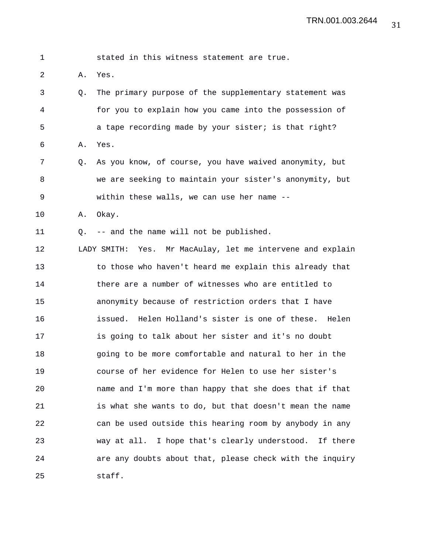| $\mathbf 1$ |    | stated in this witness statement are true.                  |
|-------------|----|-------------------------------------------------------------|
| 2           | Α. | Yes.                                                        |
| 3           | Q. | The primary purpose of the supplementary statement was      |
| 4           |    | for you to explain how you came into the possession of      |
| 5           |    | a tape recording made by your sister; is that right?        |
| 6           | Α. | Yes.                                                        |
| 7           | Q. | As you know, of course, you have waived anonymity, but      |
| 8           |    | we are seeking to maintain your sister's anonymity, but     |
| 9           |    | within these walls, we can use her name --                  |
| 10          | Α. | Okay.                                                       |
| 11          | 0. | -- and the name will not be published.                      |
| 12          |    | LADY SMITH: Yes. Mr MacAulay, let me intervene and explain  |
| 13          |    | to those who haven't heard me explain this already that     |
| 14          |    | there are a number of witnesses who are entitled to         |
| 15          |    | anonymity because of restriction orders that I have         |
| 16          |    | Helen Holland's sister is one of these.<br>issued.<br>Helen |
| 17          |    | is going to talk about her sister and it's no doubt         |
| 18          |    | going to be more comfortable and natural to her in the      |
| 19          |    | course of her evidence for Helen to use her sister's        |
| 20          |    | name and I'm more than happy that she does that if that     |
| 21          |    | is what she wants to do, but that doesn't mean the name     |
| 22          |    | can be used outside this hearing room by anybody in any     |
| 23          |    | way at all. I hope that's clearly understood. If there      |
| 24          |    | are any doubts about that, please check with the inquiry    |
| 25          |    | staff.                                                      |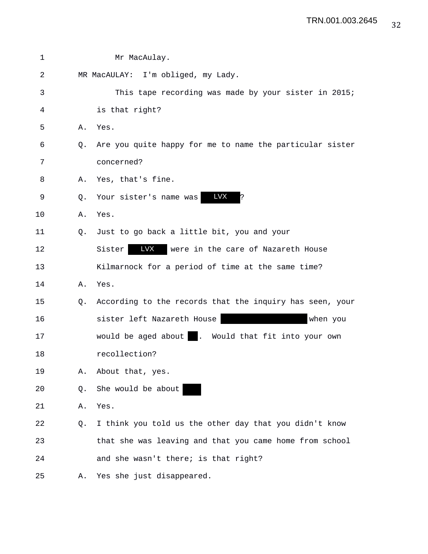| $\mathbf 1$ |    | Mr MacAulay.                                             |
|-------------|----|----------------------------------------------------------|
| 2           |    | MR MacAULAY: I'm obliged, my Lady.                       |
| 3           |    | This tape recording was made by your sister in 2015;     |
| 4           |    | is that right?                                           |
| 5           | Α. | Yes.                                                     |
| 6           | 0. | Are you quite happy for me to name the particular sister |
| 7           |    | concerned?                                               |
| 8           | Α. | Yes, that's fine.                                        |
| 9           | Q. | <b>LVX</b><br>Your sister's name was<br>S.               |
| 10          | Α. | Yes.                                                     |
| 11          | 0. | Just to go back a little bit, you and your               |
| 12          |    | LVX<br>Sister<br>were in the care of Nazareth House      |
| 13          |    | Kilmarnock for a period of time at the same time?        |
| 14          | Α. | Yes.                                                     |
| 15          | Q. | According to the records that the inquiry has seen, your |
| 16          |    | sister left Nazareth House<br>when you                   |
| 17          |    | would be aged about   . Would that fit into your own     |
| 18          |    | recollection?                                            |
| 19          | Α. | About that, yes.                                         |
| 20          | Q. | She would be about                                       |
| 21          | Α. | Yes.                                                     |
| 22          | Q. | I think you told us the other day that you didn't know   |
| 23          |    | that she was leaving and that you came home from school  |
| 24          |    | and she wasn't there; is that right?                     |
| 25          | Α. | Yes she just disappeared.                                |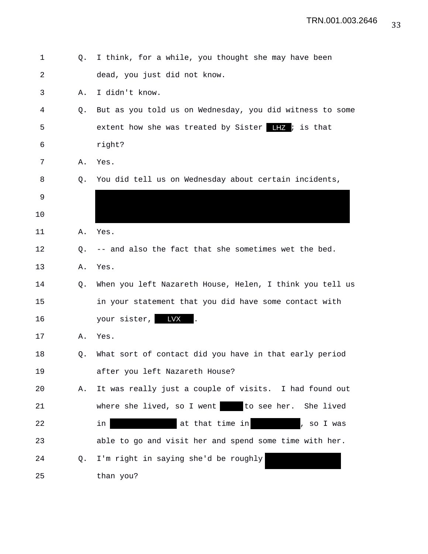| $\mathbf 1$    | Q. | I think, for a while, you thought she may have been      |
|----------------|----|----------------------------------------------------------|
| $\overline{2}$ |    | dead, you just did not know.                             |
| 3              | Α. | I didn't know.                                           |
| 4              | Q. | But as you told us on Wednesday, you did witness to some |
| 5              |    | extent how she was treated by Sister $\Box Z$ is that    |
| 6              |    | right?                                                   |
| 7              | Α. | Yes.                                                     |
| 8              | Q. | You did tell us on Wednesday about certain incidents,    |
| 9              |    |                                                          |
| 10             |    |                                                          |
| 11             | Α. | Yes.                                                     |
| 12             | Q. | -- and also the fact that she sometimes wet the bed.     |
| 13             | Α. | Yes.                                                     |
| 14             | Q. | When you left Nazareth House, Helen, I think you tell us |
| 15             |    | in your statement that you did have some contact with    |
| 16             |    | your sister, LVX                                         |
| 17             | Α. | Yes.                                                     |
| 18             | Q. | What sort of contact did you have in that early period   |
| 19             |    | after you left Nazareth House?                           |
| 20             | Α. | It was really just a couple of visits. I had found out   |
| 21             |    | where she lived, so I went to see her. She lived         |
| 22             |    | at that time in<br>in<br>, so I was                      |
| 23             |    | able to go and visit her and spend some time with her.   |
| 24             | Q. | I'm right in saying she'd be roughly                     |
| 25             |    | than you?                                                |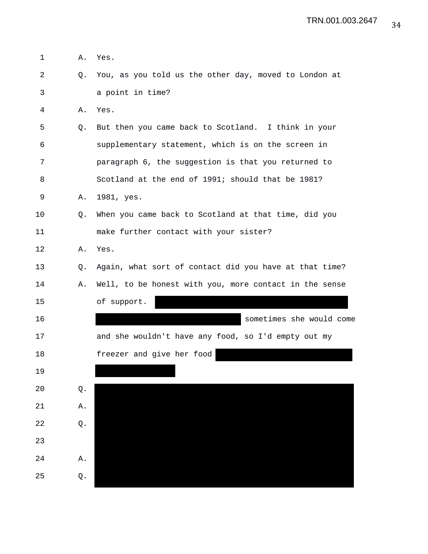| $\mathbf 1$    | Α. | Yes.                                                   |
|----------------|----|--------------------------------------------------------|
| $\overline{2}$ | Q. | You, as you told us the other day, moved to London at  |
| 3              |    | a point in time?                                       |
| 4              | Α. | Yes.                                                   |
| 5              | Q. | But then you came back to Scotland. I think in your    |
| 6              |    | supplementary statement, which is on the screen in     |
| 7              |    | paragraph 6, the suggestion is that you returned to    |
| 8              |    | Scotland at the end of 1991; should that be 1981?      |
| 9              | Α. | 1981, yes.                                             |
| 10             | Q. | When you came back to Scotland at that time, did you   |
| 11             |    | make further contact with your sister?                 |
| 12             | Α. | Yes.                                                   |
| 13             | Q. | Again, what sort of contact did you have at that time? |
| 14             | Α. | Well, to be honest with you, more contact in the sense |
| 15             |    | of support.                                            |
| 16             |    | sometimes she would come                               |
| 17             |    | and she wouldn't have any food, so I'd empty out my    |
| 18             |    | freezer and give her food                              |
| 19             |    |                                                        |
| 20             | Q. |                                                        |
| 21             | Α. |                                                        |
| 22             | Q. |                                                        |
| 23             |    |                                                        |
| 24             | Α. |                                                        |
| 25             | Q. |                                                        |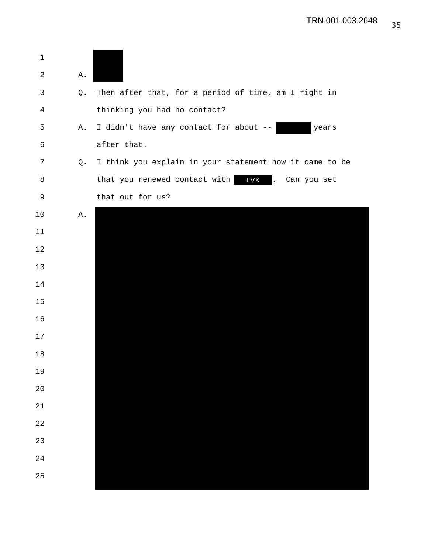| $\mathbf 1$ |    |                                                         |
|-------------|----|---------------------------------------------------------|
| 2           | Α. |                                                         |
| 3           | Q. | Then after that, for a period of time, am I right in    |
| 4           |    | thinking you had no contact?                            |
| 5           | Α. | I didn't have any contact for about --<br>years         |
| 6           |    | after that.                                             |
| 7           | Q. | I think you explain in your statement how it came to be |
| 8           |    | that you renewed contact with LVX<br>Can you set<br>Ι.  |
| 9           |    | that out for us?                                        |
| 10          | Α. |                                                         |
| 11          |    |                                                         |
| 12          |    |                                                         |
| 13          |    |                                                         |
| 14          |    |                                                         |
| 15          |    |                                                         |
| 16          |    |                                                         |
| 17          |    |                                                         |
| 18          |    |                                                         |
| 19          |    |                                                         |
| 20          |    |                                                         |
| 21          |    |                                                         |
| 22          |    |                                                         |
| 23          |    |                                                         |
| 24          |    |                                                         |
| 25          |    |                                                         |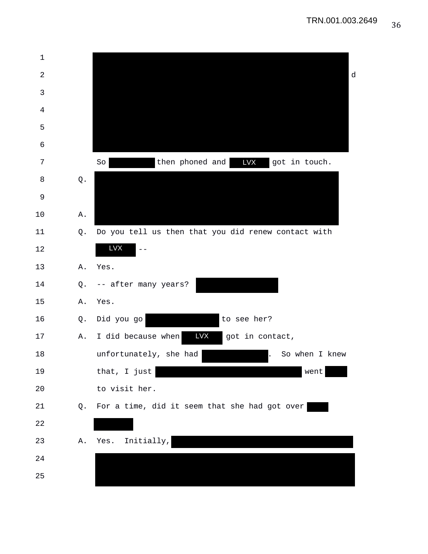| $\mathbf 1$    |               |                                                     |   |
|----------------|---------------|-----------------------------------------------------|---|
| 2              |               |                                                     | d |
| $\mathfrak{Z}$ |               |                                                     |   |
| 4              |               |                                                     |   |
| 5              |               |                                                     |   |
| 6              |               |                                                     |   |
| 7              |               | then phoned and <b>LVX</b> got in touch.<br>So      |   |
| 8              | $\mathbb Q$ . |                                                     |   |
| 9              |               |                                                     |   |
| 10             | Α.            |                                                     |   |
| 11             | Q.            | Do you tell us then that you did renew contact with |   |
| 12             |               | <b>LVX</b>                                          |   |
| 13             | Α.            | Yes.                                                |   |
| 14             | Q.            | -- after many years?                                |   |
| 15             | Α.            | Yes.                                                |   |
| 16             | Q.            | to see her?<br>Did you go                           |   |
| 17             | Α.            | <b>LVX</b><br>I did because when<br>got in contact, |   |
| 18             |               | unfortunately, she had<br>So when I knew            |   |
| 19             |               | that, I just<br>went                                |   |
| 20             |               | to visit her.                                       |   |
| $21\,$         | Q.            | For a time, did it seem that she had got over       |   |
| 22             |               |                                                     |   |
| 23             | Α.            | Initially,<br>Yes.                                  |   |
| 24             |               |                                                     |   |
| 25             |               |                                                     |   |
|                |               |                                                     |   |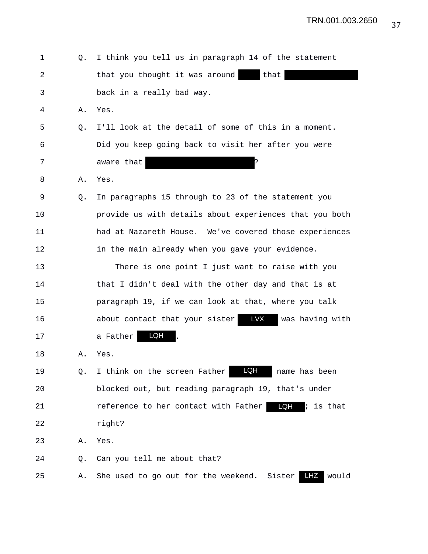| 1  | O. | I think you tell us in paragraph 14 of the statement                 |
|----|----|----------------------------------------------------------------------|
| 2  |    | that you thought it was around<br>that                               |
| 3  |    | back in a really bad way.                                            |
| 4  | Α. | Yes.                                                                 |
| 5  | Q. | I'll look at the detail of some of this in a moment.                 |
| 6  |    | Did you keep going back to visit her after you were                  |
| 7  |    | aware that                                                           |
| 8  | Α. | Yes.                                                                 |
| 9  | Q. | In paragraphs 15 through to 23 of the statement you                  |
| 10 |    | provide us with details about experiences that you both              |
| 11 |    | had at Nazareth House. We've covered those experiences               |
| 12 |    | in the main already when you gave your evidence.                     |
| 13 |    | There is one point I just want to raise with you                     |
| 14 |    | that I didn't deal with the other day and that is at                 |
| 15 |    | paragraph 19, if we can look at that, where you talk                 |
| 16 |    | LVX<br>about contact that your sister<br>was having with             |
| 17 |    | LQH<br>a Father                                                      |
| 18 | Α. | Yes.                                                                 |
| 19 | Q. | <b>LQH</b><br>I think on the screen Father<br>name has been          |
| 20 |    | blocked out, but reading paragraph 19, that's under                  |
| 21 |    | LQH<br>$i$ is that<br>reference to her contact with Father           |
| 22 |    | right?                                                               |
| 23 | Α. | Yes.                                                                 |
| 24 | Q. | Can you tell me about that?                                          |
| 25 | Α. | <b>LHZ</b><br>would<br>Sister<br>She used to go out for the weekend. |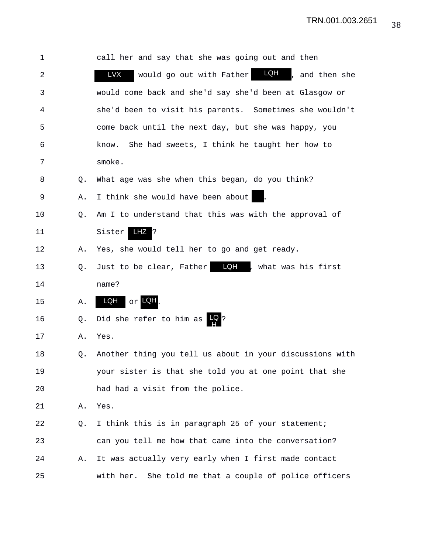| 1  |    | call her and say that she was going out and then          |
|----|----|-----------------------------------------------------------|
| 2  |    | LQH<br>LVX<br>would go out with Father<br>, and then she  |
| 3  |    | would come back and she'd say she'd been at Glasgow or    |
| 4  |    | she'd been to visit his parents. Sometimes she wouldn't   |
| 5  |    | come back until the next day, but she was happy, you      |
| 6  |    | She had sweets, I think he taught her how to<br>know.     |
| 7  |    | smoke.                                                    |
| 8  | Q. | What age was she when this began, do you think?           |
| 9  | Α. | I think she would have been about                         |
| 10 | Q. | Am I to understand that this was with the approval of     |
| 11 |    | Sister<br>LHZ ?                                           |
| 12 | Α. | Yes, she would tell her to go and get ready.              |
| 13 | Q. | Just to be clear, Father <b>LQH</b> , what was his first  |
| 14 |    | name?                                                     |
| 15 | Α. | $\circ$ r LQH<br>LQH                                      |
| 16 | Q. | Did she refer to him as $\mathbb{R}$ ?                    |
| 17 | Α. | Yes.                                                      |
| 18 | Q. | Another thing you tell us about in your discussions with  |
| 19 |    | your sister is that she told you at one point that she    |
| 20 |    | had had a visit from the police.                          |
| 21 | Α. | Yes.                                                      |
| 22 | Q. | I think this is in paragraph 25 of your statement;        |
| 23 |    | can you tell me how that came into the conversation?      |
| 24 | Α. | It was actually very early when I first made contact      |
| 25 |    | with her.<br>She told me that a couple of police officers |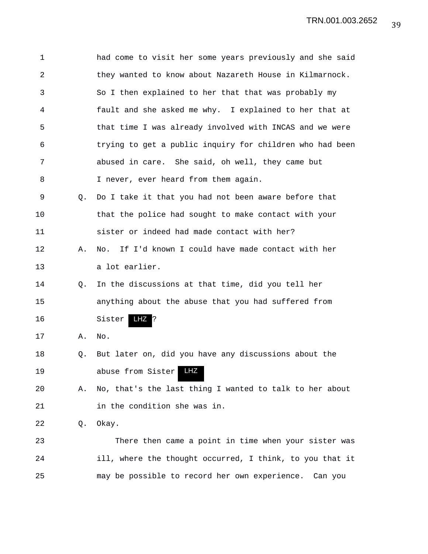| $\mathbf 1$    |    | had come to visit her some years previously and she said |
|----------------|----|----------------------------------------------------------|
| $\overline{a}$ |    | they wanted to know about Nazareth House in Kilmarnock.  |
| 3              |    | So I then explained to her that that was probably my     |
| 4              |    | fault and she asked me why. I explained to her that at   |
| 5              |    | that time I was already involved with INCAS and we were  |
| 6              |    | trying to get a public inquiry for children who had been |
| 7              |    | abused in care. She said, oh well, they came but         |
| 8              |    | I never, ever heard from them again.                     |
| 9              | O. | Do I take it that you had not been aware before that     |
| 10             |    | that the police had sought to make contact with your     |
| 11             |    | sister or indeed had made contact with her?              |
| 12             | Α. | If I'd known I could have made contact with her<br>No.   |
| 13             |    | a lot earlier.                                           |
| 14             | O. | In the discussions at that time, did you tell her        |
| 15             |    | anything about the abuse that you had suffered from      |
| 16             |    | LHZ<br>Sister<br>ļ5                                      |
| 17             | Α. | No.                                                      |
| 18             | Q. | But later on, did you have any discussions about the     |
| 19             |    | LHZ<br>abuse from Sister                                 |
| 20             | Α. | No, that's the last thing I wanted to talk to her about  |
| 21             |    | in the condition she was in.                             |
| 22             | Q. | Okay.                                                    |
| 23             |    | There then came a point in time when your sister was     |
| 24             |    | ill, where the thought occurred, I think, to you that it |
| 25             |    | may be possible to record her own experience.<br>Can you |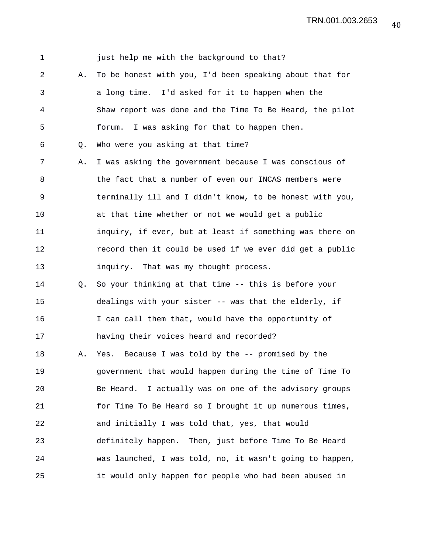| $\mathbf 1$ |    | just help me with the background to that?                 |
|-------------|----|-----------------------------------------------------------|
| 2           | Α. | To be honest with you, I'd been speaking about that for   |
| 3           |    | a long time. I'd asked for it to happen when the          |
| 4           |    | Shaw report was done and the Time To Be Heard, the pilot  |
| 5           |    | I was asking for that to happen then.<br>forum.           |
| 6           | Q. | Who were you asking at that time?                         |
| 7           | Α. | I was asking the government because I was conscious of    |
| 8           |    | the fact that a number of even our INCAS members were     |
| $\mathsf 9$ |    | terminally ill and I didn't know, to be honest with you,  |
| 10          |    | at that time whether or not we would get a public         |
| 11          |    | inquiry, if ever, but at least if something was there on  |
| 12          |    | record then it could be used if we ever did get a public  |
| 13          |    | inquiry. That was my thought process.                     |
| 14          | О. | So your thinking at that time -- this is before your      |
| 15          |    | dealings with your sister -- was that the elderly, if     |
| 16          |    | I can call them that, would have the opportunity of       |
| 17          |    | having their voices heard and recorded?                   |
| 18          | Α. | Yes. Because I was told by the -- promised by the         |
| 19          |    | government that would happen during the time of Time To   |
| $20$        |    | I actually was on one of the advisory groups<br>Be Heard. |
| 21          |    | for Time To Be Heard so I brought it up numerous times,   |
| 22          |    | and initially I was told that, yes, that would            |
| 23          |    | definitely happen. Then, just before Time To Be Heard     |
| 24          |    | was launched, I was told, no, it wasn't going to happen,  |
| 25          |    | it would only happen for people who had been abused in    |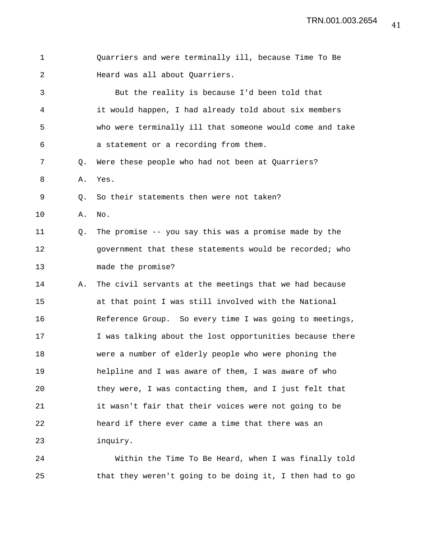| $\mathbf 1$ |    | Quarriers and were terminally ill, because Time To Be    |
|-------------|----|----------------------------------------------------------|
| 2           |    | Heard was all about Quarriers.                           |
| 3           |    | But the reality is because I'd been told that            |
| 4           |    | it would happen, I had already told about six members    |
| 5           |    | who were terminally ill that someone would come and take |
| 6           |    | a statement or a recording from them.                    |
| 7           | Q. | Were these people who had not been at Quarriers?         |
| 8           | Α. | Yes.                                                     |
| 9           | Q. | So their statements then were not taken?                 |
| 10          | Α. | No.                                                      |
| 11          | Q. | The promise -- you say this was a promise made by the    |
| 12          |    | government that these statements would be recorded; who  |
| 13          |    | made the promise?                                        |
| 14          | Α. | The civil servants at the meetings that we had because   |
| 15          |    | at that point I was still involved with the National     |
| 16          |    | Reference Group. So every time I was going to meetings,  |
| 17          |    | I was talking about the lost opportunities because there |
| 18          |    | were a number of elderly people who were phoning the     |
| 19          |    | helpline and I was aware of them, I was aware of who     |
| 20          |    | they were, I was contacting them, and I just felt that   |
| 21          |    | it wasn't fair that their voices were not going to be    |
| 22          |    | heard if there ever came a time that there was an        |
| 23          |    | inquiry.                                                 |
|             |    |                                                          |

24 Within the Time To Be Heard, when I was finally told 25 that they weren't going to be doing it, I then had to go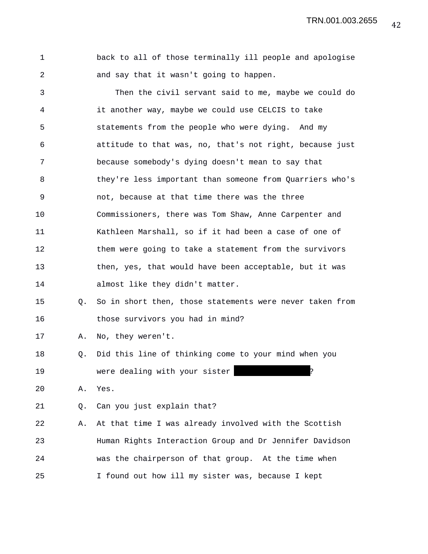TRN.001.003.2655

|  |  |  |                                         |  | back to all of those terminally ill people and apologise |
|--|--|--|-----------------------------------------|--|----------------------------------------------------------|
|  |  |  | and say that it wasn't going to happen. |  |                                                          |

3 Then the civil servant said to me, maybe we could do 4 it another way, maybe we could use CELCIS to take 5 statements from the people who were dying. And my 6 attitude to that was, no, that's not right, because just 7 because somebody's dying doesn't mean to say that 8 they're less important than someone from Quarriers who's 9 not, because at that time there was the three 10 Commissioners, there was Tom Shaw, Anne Carpenter and 11 Kathleen Marshall, so if it had been a case of one of 12 them were going to take a statement from the survivors 13 then, yes, that would have been acceptable, but it was 14 almost like they didn't matter.

## 15 Q. So in short then, those statements were never taken from 16 those survivors you had in mind?

17 A. No, they weren't.

18 Q. Did this line of thinking come to your mind when you 19 were dealing with your sister

20 A. Yes.

21 Q. Can you just explain that?

22 A. At that time I was already involved with the Scottish 23 Human Rights Interaction Group and Dr Jennifer Davidson 24 was the chairperson of that group. At the time when 25 I found out how ill my sister was, because I kept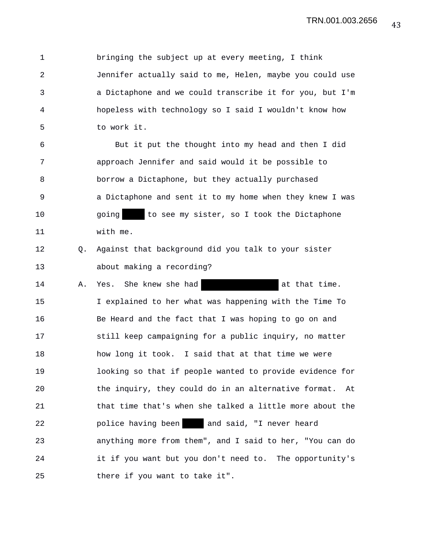1 bringing the subject up at every meeting, I think 2 Jennifer actually said to me, Helen, maybe you could use 3 a Dictaphone and we could transcribe it for you, but I'm 4 hopeless with technology so I said I wouldn't know how 5 to work it.

6 But it put the thought into my head and then I did 7 approach Jennifer and said would it be possible to 8 borrow a Dictaphone, but they actually purchased 9 a Dictaphone and sent it to my home when they knew I was 10 going to see my sister, so I took the Dictaphone 11 with me.

12 Q. Against that background did you talk to your sister 13 about making a recording?

14 A. Yes. She knew she had at that time. 15 I explained to her what was happening with the Time To 16 Be Heard and the fact that I was hoping to go on and 17 still keep campaigning for a public inquiry, no matter 18 how long it took. I said that at that time we were 19 looking so that if people wanted to provide evidence for 20 the inquiry, they could do in an alternative format. At 21 that time that's when she talked a little more about the 22 police having been and said, "I never heard 23 anything more from them", and I said to her, "You can do 24 it if you want but you don't need to. The opportunity's 25 there if you want to take it".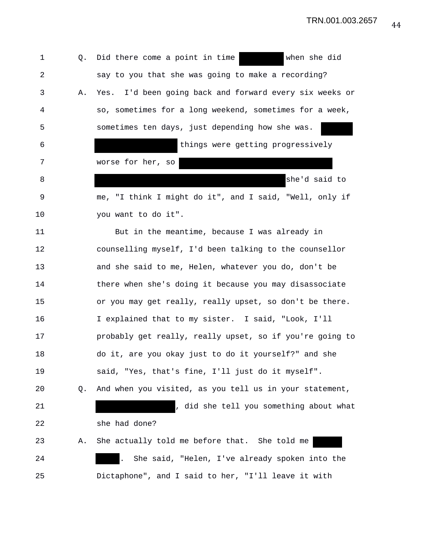1 Q. Did there come a point in time when she did 2 say to you that she was going to make a recording? 3 A. Yes. I'd been going back and forward every six weeks or 4 so, sometimes for a long weekend, sometimes for a week, 5 sometimes ten days, just depending how she was. 6 things were getting progressively 7 worse for her, so 8 she'd said to 9 me, "I think I might do it", and I said, "Well, only if 10 you want to do it". 11 But in the meantime, because I was already in 12 counselling myself, I'd been talking to the counsellor 13 and she said to me, Helen, whatever you do, don't be 14 there when she's doing it because you may disassociate 15 or you may get really, really upset, so don't be there. 16 I explained that to my sister. I said, "Look, I'll 17 probably get really, really upset, so if you're going to 18 do it, are you okay just to do it yourself?" and she 19 said, "Yes, that's fine, I'll just do it myself". 20 Q. And when you visited, as you tell us in your statement, 21 , did she tell you something about what 22 she had done? 23 A. She actually told me before that. She told me 24 . She said, "Helen, I've already spoken into the 25 Dictaphone", and I said to her, "I'll leave it with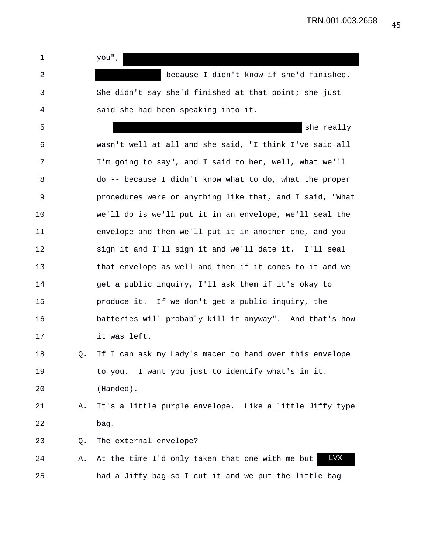1 you",

2 because I didn't know if she'd finished. 3 She didn't say she'd finished at that point; she just 4 said she had been speaking into it.

5 she really 6 wasn't well at all and she said, "I think I've said all 7 I'm going to say", and I said to her, well, what we'll 8 do -- because I didn't know what to do, what the proper 9 procedures were or anything like that, and I said, "What 10 we'll do is we'll put it in an envelope, we'll seal the 11 envelope and then we'll put it in another one, and you 12 sign it and I'll sign it and we'll date it. I'll seal 13 that envelope as well and then if it comes to it and we 14 get a public inquiry, I'll ask them if it's okay to 15 produce it. If we don't get a public inquiry, the 16 batteries will probably kill it anyway". And that's how 17 it was left.

18 Q. If I can ask my Lady's macer to hand over this envelope 19 to you. I want you just to identify what's in it. 20 (Handed).

21 A. It's a little purple envelope. Like a little Jiffy type 22 bag.

23 Q. The external envelope?

24 A. At the time I'd only taken that one with me but 25 had a Jiffy bag so I cut it and we put the little bag LVX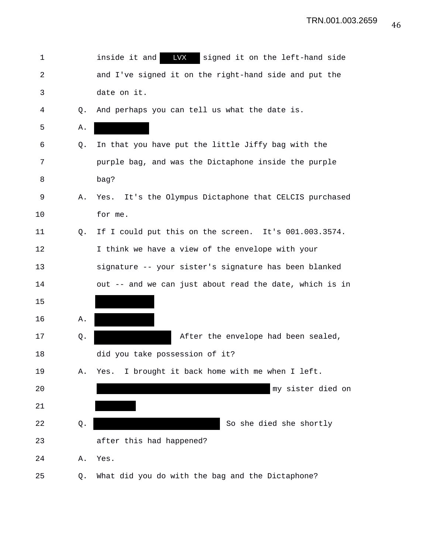| 1  |    | LVX<br>inside it and<br>signed it on the left-hand side |
|----|----|---------------------------------------------------------|
| 2  |    | and I've signed it on the right-hand side and put the   |
| 3  |    | date on it.                                             |
| 4  | Q. | And perhaps you can tell us what the date is.           |
| 5  | Α. |                                                         |
| 6  | Q. | In that you have put the little Jiffy bag with the      |
| 7  |    | purple bag, and was the Dictaphone inside the purple    |
| 8  |    | bag?                                                    |
| 9  | Α. | Yes. It's the Olympus Dictaphone that CELCIS purchased  |
| 10 |    | for me.                                                 |
| 11 | Q. | If I could put this on the screen. It's 001.003.3574.   |
| 12 |    | I think we have a view of the envelope with your        |
| 13 |    | signature -- your sister's signature has been blanked   |
| 14 |    | out -- and we can just about read the date, which is in |
| 15 |    |                                                         |
| 16 | Α. |                                                         |
| 17 | Q. | After the envelope had been sealed,                     |
| 18 |    | did you take possession of it?                          |
| 19 | Α. | I brought it back home with me when I left.<br>Yes.     |
| 20 |    | my sister died on                                       |
| 21 |    |                                                         |
| 22 | Q. | So she died she shortly                                 |
| 23 |    | after this had happened?                                |
| 24 | Α. | Yes.                                                    |
| 25 | Q. | What did you do with the bag and the Dictaphone?        |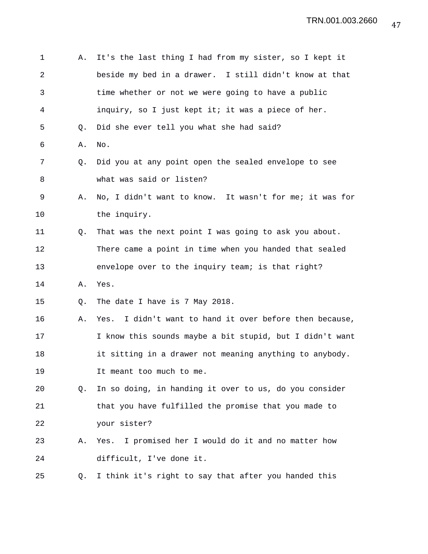| 1  | Α. | It's the last thing I had from my sister, so I kept it   |
|----|----|----------------------------------------------------------|
| 2  |    | beside my bed in a drawer. I still didn't know at that   |
| 3  |    | time whether or not we were going to have a public       |
| 4  |    | inquiry, so I just kept it; it was a piece of her.       |
| 5  | Q. | Did she ever tell you what she had said?                 |
| 6  | Α. | No.                                                      |
| 7  | Q. | Did you at any point open the sealed envelope to see     |
| 8  |    | what was said or listen?                                 |
| 9  | Α. | No, I didn't want to know. It wasn't for me; it was for  |
| 10 |    | the inquiry.                                             |
| 11 | Q. | That was the next point I was going to ask you about.    |
| 12 |    | There came a point in time when you handed that sealed   |
| 13 |    | envelope over to the inquiry team; is that right?        |
| 14 | Α. | Yes.                                                     |
| 15 | Q. | The date I have is 7 May 2018.                           |
| 16 | Α. | Yes. I didn't want to hand it over before then because,  |
| 17 |    | I know this sounds maybe a bit stupid, but I didn't want |
| 18 |    | it sitting in a drawer not meaning anything to anybody.  |
| 19 |    | It meant too much to me.                                 |
| 20 | Q. | In so doing, in handing it over to us, do you consider   |
| 21 |    | that you have fulfilled the promise that you made to     |
| 22 |    | your sister?                                             |
| 23 | Α. | I promised her I would do it and no matter how<br>Yes.   |
| 24 |    | difficult, I've done it.                                 |
| 25 | Q. | I think it's right to say that after you handed this     |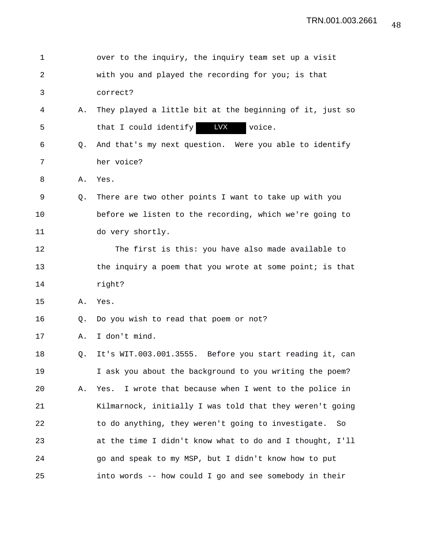| 1              |    | over to the inquiry, the inquiry team set up a visit      |
|----------------|----|-----------------------------------------------------------|
| $\overline{2}$ |    | with you and played the recording for you; is that        |
| 3              |    | correct?                                                  |
| 4              | Α. | They played a little bit at the beginning of it, just so  |
| 5              |    | <b>LVX</b><br>that I could identify<br>voice.             |
| 6              | Q. | And that's my next question. Were you able to identify    |
| 7              |    | her voice?                                                |
| 8              | Α. | Yes.                                                      |
| 9              | Q. | There are two other points I want to take up with you     |
| 10             |    | before we listen to the recording, which we're going to   |
| 11             |    | do very shortly.                                          |
| 12             |    | The first is this: you have also made available to        |
| 13             |    | the inquiry a poem that you wrote at some point; is that  |
| 14             |    | right?                                                    |
| 15             | Α. | Yes.                                                      |
| 16             | Q. | Do you wish to read that poem or not?                     |
| 17             | Α. | I don't mind.                                             |
| 18             | Q. | It's WIT.003.001.3555. Before you start reading it, can   |
| 19             |    | I ask you about the background to you writing the poem?   |
| 20             | Α. | I wrote that because when I went to the police in<br>Yes. |
| 21             |    | Kilmarnock, initially I was told that they weren't going  |
| 22             |    | to do anything, they weren't going to investigate.<br>So  |
| 23             |    | at the time I didn't know what to do and I thought, I'll  |
| 24             |    | go and speak to my MSP, but I didn't know how to put      |
| 25             |    | into words -- how could I go and see somebody in their    |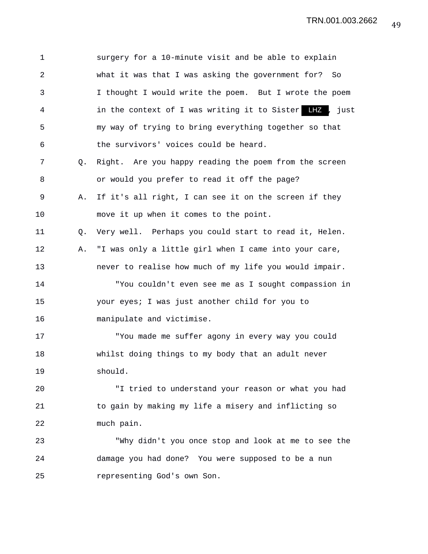1 surgery for a 10-minute visit and be able to explain 2 what it was that I was asking the government for? So 3 I thought I would write the poem. But I wrote the poem 4 1 in the context of I was writing it to Sister LHZ , just 5 my way of trying to bring everything together so that 6 the survivors' voices could be heard. 7 Q. Right. Are you happy reading the poem from the screen 8 or would you prefer to read it off the page? 9 A. If it's all right, I can see it on the screen if they 10 move it up when it comes to the point. 11 Q. Very well. Perhaps you could start to read it, Helen. 12 A. "I was only a little girl when I came into your care, 13 never to realise how much of my life you would impair. 14 "You couldn't even see me as I sought compassion in 15 your eyes; I was just another child for you to 16 manipulate and victimise. 17 "You made me suffer agony in every way you could 18 whilst doing things to my body that an adult never 19 should. 20 "I tried to understand your reason or what you had 21 to gain by making my life a misery and inflicting so 22 much pain. 23 "Why didn't you once stop and look at me to see the 24 damage you had done? You were supposed to be a nun 25 representing God's own Son.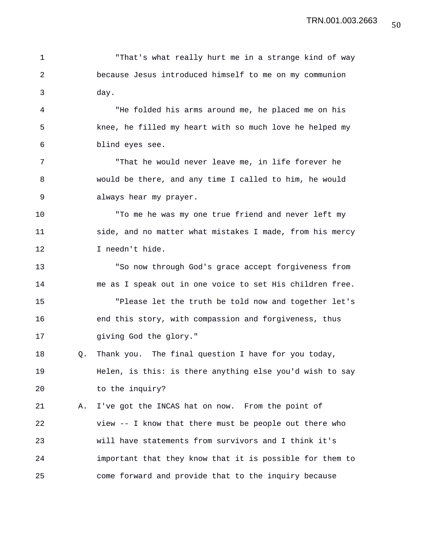1 That's what really hurt me in a strange kind of way 2 because Jesus introduced himself to me on my communion 3 day. 4 "He folded his arms around me, he placed me on his 5 knee, he filled my heart with so much love he helped my 6 blind eyes see. 7 "That he would never leave me, in life forever he 8 would be there, and any time I called to him, he would 9 always hear my prayer. 10 "To me he was my one true friend and never left my 11 side, and no matter what mistakes I made, from his mercy 12 I needn't hide. 13 "So now through God's grace accept forgiveness from 14 me as I speak out in one voice to set His children free. 15 "Please let the truth be told now and together let's

16 end this story, with compassion and forgiveness, thus 17 giving God the glory."

18 Q. Thank you. The final question I have for you today, 19 Helen, is this: is there anything else you'd wish to say 20 to the inquiry?

21 A. I've got the INCAS hat on now. From the point of 22 view -- I know that there must be people out there who 23 will have statements from survivors and I think it's 24 important that they know that it is possible for them to 25 come forward and provide that to the inquiry because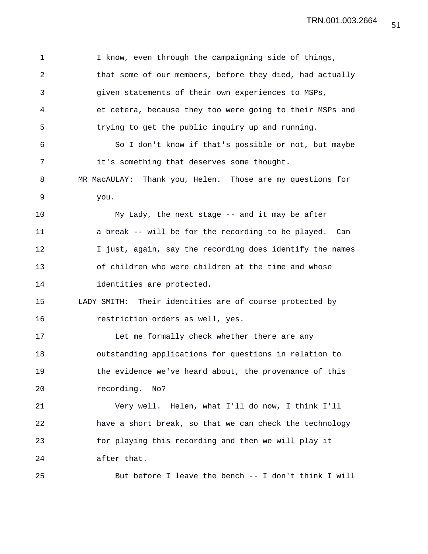| 1              | I know, even through the campaigning side of things,      |
|----------------|-----------------------------------------------------------|
| $\overline{2}$ | that some of our members, before they died, had actually  |
| 3              | given statements of their own experiences to MSPs,        |
| 4              | et cetera, because they too were going to their MSPs and  |
| 5              | trying to get the public inquiry up and running.          |
| 6              | So I don't know if that's possible or not, but maybe      |
| 7              | it's something that deserves some thought.                |
| 8              | MR MacAULAY: Thank you, Helen. Those are my questions for |
| 9              | you.                                                      |
| 10             | My Lady, the next stage -- and it may be after            |
| 11             | a break -- will be for the recording to be played. Can    |
| 12             | I just, again, say the recording does identify the names  |
| 13             | of children who were children at the time and whose       |
| 14             | identities are protected.                                 |
| 15             | LADY SMITH: Their identities are of course protected by   |
| 16             | restriction orders as well, yes.                          |
| 17             | Let me formally check whether there are any               |
| 18             | outstanding applications for questions in relation to     |
| 19             | the evidence we've heard about, the provenance of this    |
| 20             | recording.<br>No?                                         |
| 21             | Very well. Helen, what I'll do now, I think I'll          |
| 22             | have a short break, so that we can check the technology   |
| 23             | for playing this recording and then we will play it       |
| 24             | after that.                                               |
| 25             | But before I leave the bench -- I don't think I will      |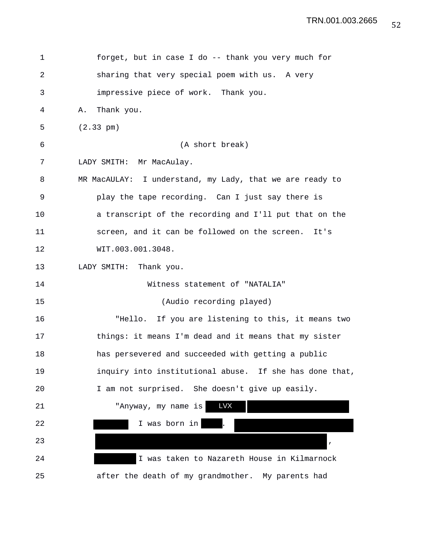| 1  | forget, but in case I do -- thank you very much for      |
|----|----------------------------------------------------------|
| 2  | sharing that very special poem with us. A very           |
| 3  | impressive piece of work. Thank you.                     |
| 4  | Thank you.<br>Α.                                         |
| 5  | $(2.33 \text{ pm})$                                      |
| 6  | (A short break)                                          |
| 7  | LADY SMITH: Mr MacAulay.                                 |
| 8  | MR MacAULAY: I understand, my Lady, that we are ready to |
| 9  | play the tape recording. Can I just say there is         |
| 10 | a transcript of the recording and I'll put that on the   |
| 11 | screen, and it can be followed on the screen. It's       |
| 12 | WIT.003.001.3048.                                        |
| 13 | LADY SMITH: Thank you.                                   |
| 14 | Witness statement of "NATALIA"                           |
| 15 | (Audio recording played)                                 |
| 16 | "Hello. If you are listening to this, it means two       |
| 17 | things: it means I'm dead and it means that my sister    |
| 18 | has persevered and succeeded with getting a public       |
| 19 | inquiry into institutional abuse. If she has done that,  |
| 20 | I am not surprised. She doesn't give up easily.          |
| 21 | <b>LVX</b><br>"Anyway, my name is                        |
| 22 | I was born in                                            |
| 23 | $\pmb{\prime}$                                           |
| 24 | I was taken to Nazareth House in Kilmarnock              |
| 25 | after the death of my grandmother. My parents had        |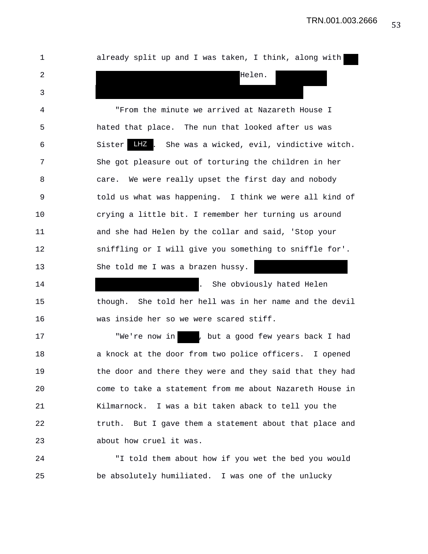| 1  | already split up and I was taken, I think, along with    |
|----|----------------------------------------------------------|
| 2  | Helen.                                                   |
| 3  |                                                          |
| 4  | "From the minute we arrived at Nazareth House I          |
| 5  | hated that place. The nun that looked after us was       |
| 6  | LHZ. She was a wicked, evil, vindictive witch.<br>Sister |
| 7  | She got pleasure out of torturing the children in her    |
| 8  | care. We were really upset the first day and nobody      |
| 9  | told us what was happening. I think we were all kind of  |
| 10 | crying a little bit. I remember her turning us around    |
| 11 | and she had Helen by the collar and said, 'Stop your     |
| 12 | sniffling or I will give you something to sniffle for'.  |
| 13 | She told me I was a brazen hussy.                        |
| 14 | She obviously hated Helen<br>$\mathbf{L}$                |
| 15 | though. She told her hell was in her name and the devil  |
| 16 | was inside her so we were scared stiff.                  |
| 17 | "We're now in   , but a good few years back I had        |
| 18 | a knock at the door from two police officers. I opened   |
| 19 | the door and there they were and they said that they had |
| 20 | come to take a statement from me about Nazareth House in |
| 21 | Kilmarnock. I was a bit taken aback to tell you the      |
| 22 | truth. But I gave them a statement about that place and  |
| 23 | about how cruel it was.                                  |
|    |                                                          |

24 "I told them about how if you wet the bed you would 25 be absolutely humiliated. I was one of the unlucky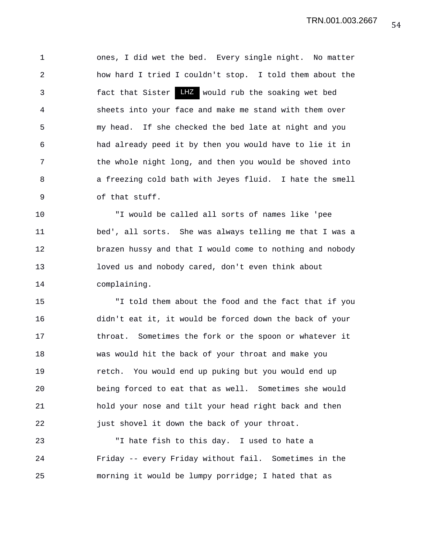1 ones, I did wet the bed. Every single night. No matter 2 how hard I tried I couldn't stop. I told them about the 3 fact that Sister LHZ would rub the soaking wet bed 4 sheets into your face and make me stand with them over 5 my head. If she checked the bed late at night and you 6 had already peed it by then you would have to lie it in 7 the whole night long, and then you would be shoved into 8 a freezing cold bath with Jeyes fluid. I hate the smell 9 of that stuff.

10 "I would be called all sorts of names like 'pee 11 bed', all sorts. She was always telling me that I was a 12 brazen hussy and that I would come to nothing and nobody 13 loved us and nobody cared, don't even think about 14 complaining.

15 "I told them about the food and the fact that if you 16 didn't eat it, it would be forced down the back of your 17 throat. Sometimes the fork or the spoon or whatever it 18 was would hit the back of your throat and make you 19 retch. You would end up puking but you would end up 20 being forced to eat that as well. Sometimes she would 21 hold your nose and tilt your head right back and then 22 just shovel it down the back of your throat.

23 "I hate fish to this day. I used to hate a 24 Friday -- every Friday without fail. Sometimes in the 25 morning it would be lumpy porridge; I hated that as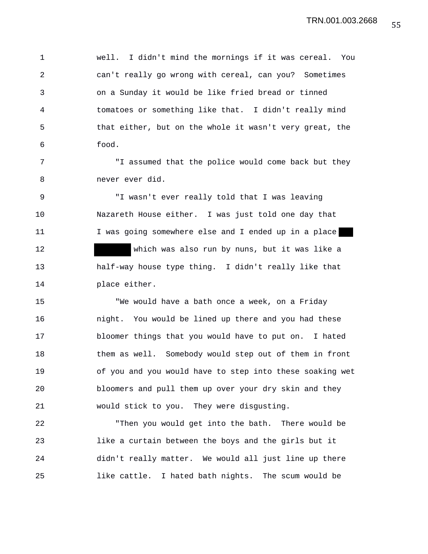1 well. I didn't mind the mornings if it was cereal. You 2 can't really go wrong with cereal, can you? Sometimes 3 on a Sunday it would be like fried bread or tinned 4 tomatoes or something like that. I didn't really mind 5 that either, but on the whole it wasn't very great, the 6 food.

7 "I assumed that the police would come back but they 8 never ever did.

9 "I wasn't ever really told that I was leaving 10 Nazareth House either. I was just told one day that 11 I was going somewhere else and I ended up in a place 12 which was also run by nuns, but it was like a 13 half-way house type thing. I didn't really like that 14 place either.

15 "We would have a bath once a week, on a Friday 16 night. You would be lined up there and you had these 17 bloomer things that you would have to put on. I hated 18 them as well. Somebody would step out of them in front 19 of you and you would have to step into these soaking wet 20 bloomers and pull them up over your dry skin and they 21 would stick to you. They were disgusting.

22 "Then you would get into the bath. There would be 23 like a curtain between the boys and the girls but it 24 didn't really matter. We would all just line up there 25 like cattle. I hated bath nights. The scum would be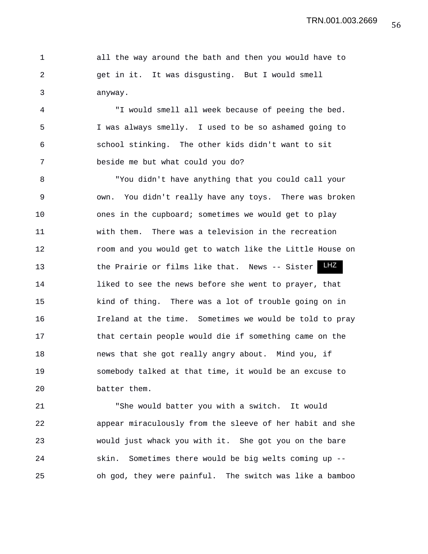|               |         |                                                 | all the way around the bath and then you would have to |
|---------------|---------|-------------------------------------------------|--------------------------------------------------------|
| $\mathcal{L}$ |         | get in it. It was disqusting. But I would smell |                                                        |
| 3             | anyway. |                                                 |                                                        |

4 "I would smell all week because of peeing the bed. 5 I was always smelly. I used to be so ashamed going to 6 school stinking. The other kids didn't want to sit 7 beside me but what could you do?

8 "You didn't have anything that you could call your 9 own. You didn't really have any toys. There was broken 10 ones in the cupboard; sometimes we would get to play 11 with them. There was a television in the recreation 12 room and you would get to watch like the Little House on 13 the Prairie or films like that. News -- Sister 14 liked to see the news before she went to prayer, that 15 kind of thing. There was a lot of trouble going on in 16 Ireland at the time. Sometimes we would be told to pray 17 that certain people would die if something came on the 18 news that she got really angry about. Mind you, if 19 somebody talked at that time, it would be an excuse to 20 batter them.

21 "She would batter you with a switch. It would 22 appear miraculously from the sleeve of her habit and she 23 would just whack you with it. She got you on the bare 24 skin. Sometimes there would be big welts coming up -- 25 oh god, they were painful. The switch was like a bamboo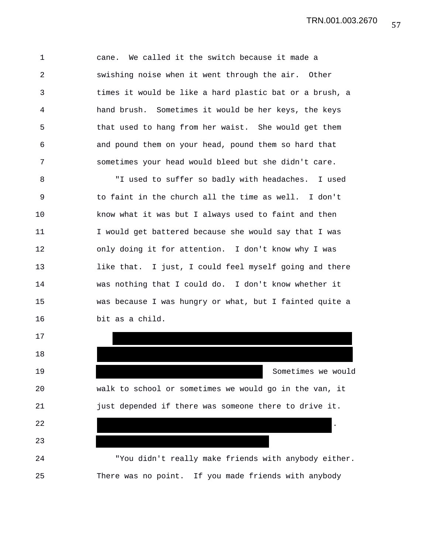1 cane. We called it the switch because it made a 2 swishing noise when it went through the air. Other 3 times it would be like a hard plastic bat or a brush, a 4 hand brush. Sometimes it would be her keys, the keys 5 that used to hang from her waist. She would get them 6 and pound them on your head, pound them so hard that 7 sometimes your head would bleed but she didn't care.

8 "I used to suffer so badly with headaches. I used 9 to faint in the church all the time as well. I don't 10 know what it was but I always used to faint and then 11 I would get battered because she would say that I was 12 only doing it for attention. I don't know why I was 13 like that. I just, I could feel myself going and there 14 was nothing that I could do. I don't know whether it 15 was because I was hungry or what, but I fainted quite a 16 bit as a child.

17

18

23

19 Sometimes we would 20 walk to school or sometimes we would go in the van, it 21 just depended if there was someone there to drive it.

24 "You didn't really make friends with anybody either. 25 There was no point. If you made friends with anybody

22  $\sim$  .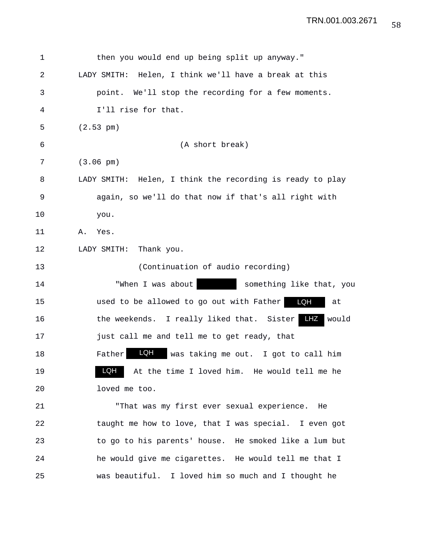| 1  | then you would end up being split up anyway."             |
|----|-----------------------------------------------------------|
| 2  | LADY SMITH: Helen, I think we'll have a break at this     |
| 3  | point. We'll stop the recording for a few moments.        |
| 4  | I'll rise for that.                                       |
| 5  | $(2.53 \text{ pm})$                                       |
| 6  | (A short break)                                           |
| 7  | $(3.06 \text{ pm})$                                       |
| 8  | LADY SMITH: Helen, I think the recording is ready to play |
| 9  | again, so we'll do that now if that's all right with      |
| 10 | you.                                                      |
| 11 | Yes.<br>Α.                                                |
| 12 | Thank you.<br>LADY SMITH:                                 |
| 13 | (Continuation of audio recording)                         |
| 14 | "When I was about<br>something like that, you             |
| 15 | used to be allowed to go out with Father<br>LQH<br>at     |
| 16 | LHZ<br>the weekends. I really liked that. Sister<br>would |
| 17 | just call me and tell me to get ready, that               |
| 18 | LQH<br>Father<br>was taking me out. I got to call him     |
| 19 | LQH<br>At the time I loved him. He would tell me he       |
| 20 | loved me too.                                             |
| 21 | "That was my first ever sexual experience. He             |
| 22 | taught me how to love, that I was special. I even got     |
| 23 | to go to his parents' house. He smoked like a lum but     |
| 24 | he would give me cigarettes. He would tell me that I      |
| 25 | was beautiful. I loved him so much and I thought he       |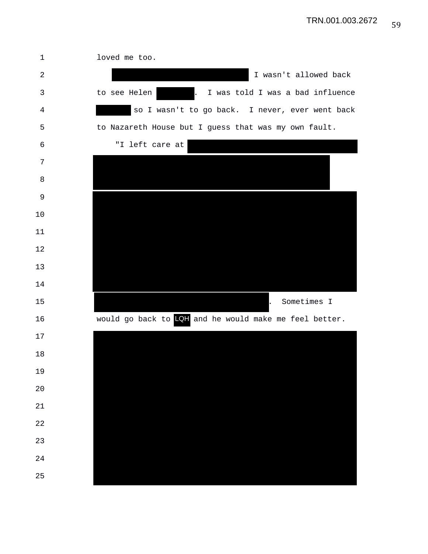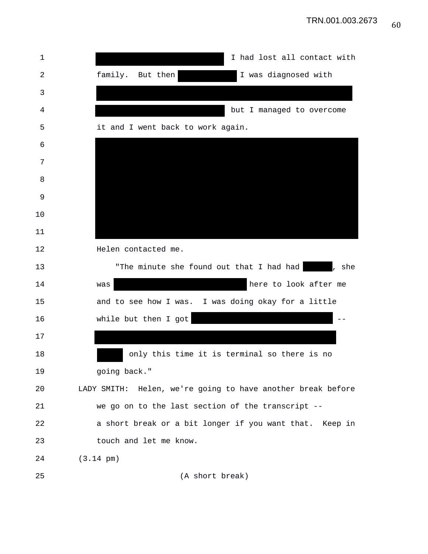| 1  | I had lost all contact with                                 |
|----|-------------------------------------------------------------|
| 2  | family. But then<br>I was diagnosed with                    |
| 3  |                                                             |
| 4  | but I managed to overcome                                   |
| 5  | it and I went back to work again.                           |
| 6  |                                                             |
| 7  |                                                             |
| 8  |                                                             |
| 9  |                                                             |
| 10 |                                                             |
| 11 |                                                             |
| 12 | Helen contacted me.                                         |
| 13 | "The minute she found out that I had had  <br>, she         |
| 14 | here to look after me<br>was                                |
| 15 | and to see how I was. I was doing okay for a little         |
| 16 | while but then I got                                        |
| 17 |                                                             |
| 18 | only this time it is terminal so there is no                |
| 19 | going back."                                                |
| 20 | LADY SMITH: Helen, we're going to have another break before |
| 21 | we go on to the last section of the transcript --           |
| 22 | a short break or a bit longer if you want that. Keep in     |
| 23 | touch and let me know.                                      |
| 24 | $(3.14 \text{ pm})$                                         |
| 25 | (A short break)                                             |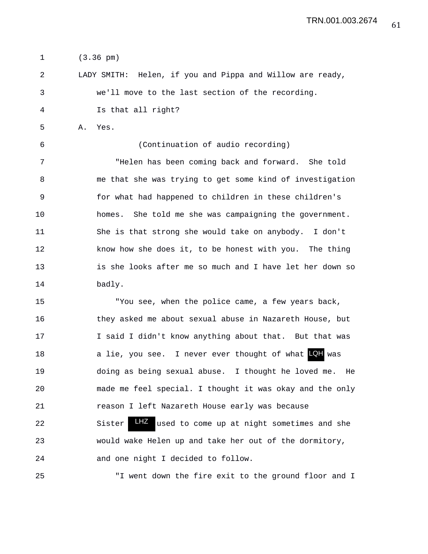1 (3.36 pm)

2 LADY SMITH: Helen, if you and Pippa and Willow are ready, 3 we'll move to the last section of the recording. 4 Is that all right?

5 A. Yes.

6 (Continuation of audio recording)

7 "Helen has been coming back and forward. She told 8 me that she was trying to get some kind of investigation 9 for what had happened to children in these children's 10 homes. She told me she was campaigning the government. 11 She is that strong she would take on anybody. I don't 12 know how she does it, to be honest with you. The thing 13 is she looks after me so much and I have let her down so 14 badly.

15 "You see, when the police came, a few years back, 16 they asked me about sexual abuse in Nazareth House, but 17 I said I didn't know anything about that. But that was 18 a lie, you see. I never ever thought of what was LQH19 doing as being sexual abuse. I thought he loved me. He 20 made me feel special. I thought it was okay and the only 21 reason I left Nazareth House early was because 22 Sister LHZ used to come up at night sometimes and she 23 would wake Helen up and take her out of the dormitory, 24 and one night I decided to follow.

25 "I went down the fire exit to the ground floor and I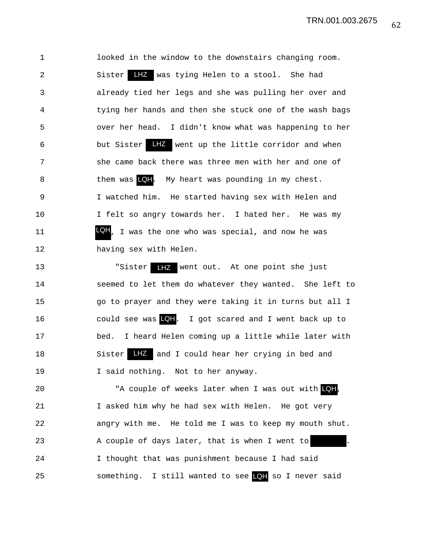1 looked in the window to the downstairs changing room. 2 Sister LHZ was tying Helen to a stool. She had 3 already tied her legs and she was pulling her over and 4 tying her hands and then she stuck one of the wash bags 5 over her head. I didn't know what was happening to her 6 but Sister LHZ went up the little corridor and when 7 she came back there was three men with her and one of 8 them was LQH. My heart was pounding in my chest. 9 I watched him. He started having sex with Helen and 10 I felt so angry towards her. I hated her. He was my 11 **LQH**, I was the one who was special, and now he was 12 having sex with Helen.

13 "Sister LHZ went out. At one point she just 14 seemed to let them do whatever they wanted. She left to 15 go to prayer and they were taking it in turns but all I 16 could see was . I got scared and I went back up to LQH 17 bed. I heard Helen coming up a little while later with 18 Sister LHZ and I could hear her crying in bed and 19 I said nothing. Not to her anyway.

20 The Couple of weeks later when I was out with  $QH$ , 21 I asked him why he had sex with Helen. He got very 22 angry with me. He told me I was to keep my mouth shut. 23 A couple of days later, that is when I went to 24 I thought that was punishment because I had said 25 something. I still wanted to see so I never said LQH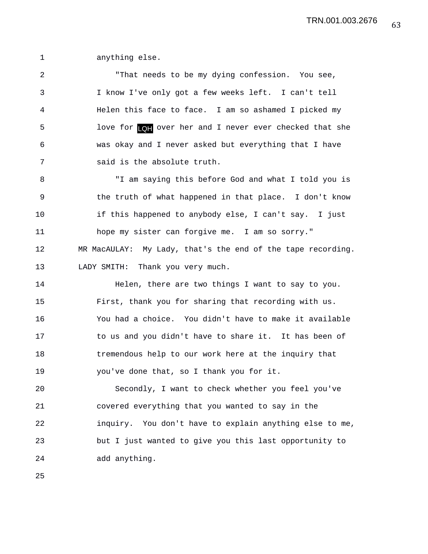1 anything else.

2 "That needs to be my dying confession. You see, 3 I know I've only got a few weeks left. I can't tell 4 Helen this face to face. I am so ashamed I picked my 5 love for  $\textsf{[Q]}$  over her and I never ever checked that she 6 was okay and I never asked but everything that I have 7 said is the absolute truth.

8 "I am saying this before God and what I told you is 9 the truth of what happened in that place. I don't know 10 if this happened to anybody else, I can't say. I just 11 hope my sister can forgive me. I am so sorry." 12 MR MacAULAY: My Lady, that's the end of the tape recording. 13 LADY SMITH: Thank you very much.

14 Helen, there are two things I want to say to you. 15 First, thank you for sharing that recording with us. 16 You had a choice. You didn't have to make it available 17 to us and you didn't have to share it. It has been of 18 tremendous help to our work here at the inquiry that 19 you've done that, so I thank you for it.

20 Secondly, I want to check whether you feel you've 21 covered everything that you wanted to say in the 22 inquiry. You don't have to explain anything else to me, 23 but I just wanted to give you this last opportunity to 24 add anything.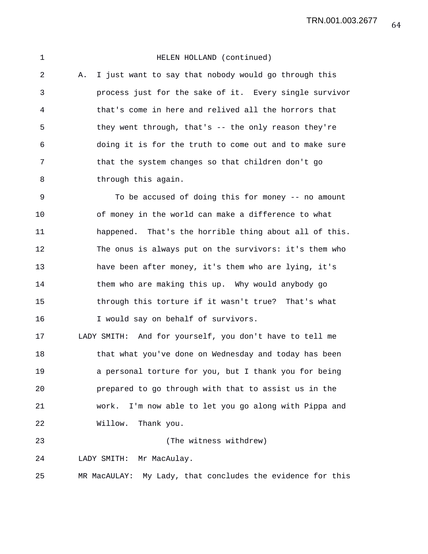1 HELEN HOLLAND (continued) 2 A. I just want to say that nobody would go through this 3 process just for the sake of it. Every single survivor 4 that's come in here and relived all the horrors that 5 they went through, that's -- the only reason they're 6 doing it is for the truth to come out and to make sure 7 that the system changes so that children don't go 8 through this again. 9 To be accused of doing this for money -- no amount 10 of money in the world can make a difference to what 11 happened. That's the horrible thing about all of this. 12 The onus is always put on the survivors: it's them who 13 have been after money, it's them who are lying, it's 14 them who are making this up. Why would anybody go 15 through this torture if it wasn't true? That's what 16 I would say on behalf of survivors. 17 LADY SMITH: And for yourself, you don't have to tell me 18 that what you've done on Wednesday and today has been 19 a personal torture for you, but I thank you for being 20 prepared to go through with that to assist us in the 21 work. I'm now able to let you go along with Pippa and 22 Willow. Thank you. 23 (The witness withdrew) 24 LADY SMITH: Mr MacAulay. 25 MR MacAULAY: My Lady, that concludes the evidence for this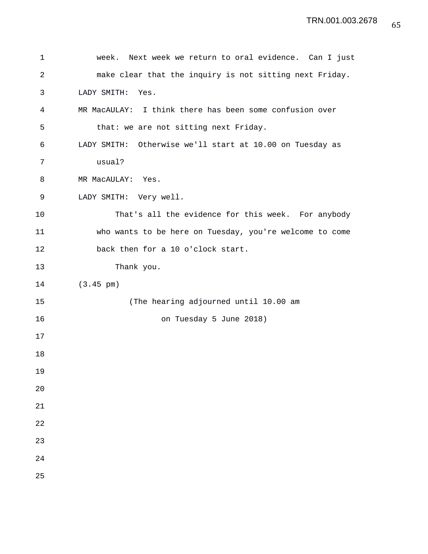```
1 week. Next week we return to oral evidence. Can I just
2 make clear that the inquiry is not sitting next Friday.
3 LADY SMITH: Yes.
4 MR MacAULAY: I think there has been some confusion over
5 that: we are not sitting next Friday.
6 LADY SMITH: Otherwise we'll start at 10.00 on Tuesday as
7 usual?
8 MR MacAULAY: Yes.
9 LADY SMITH: Very well.
10 That's all the evidence for this week. For anybody
11 who wants to be here on Tuesday, you're welcome to come
12 back then for a 10 o'clock start.
13 Thank you.
14 (3.45 pm)
15 (The hearing adjourned until 10.00 am
16 on Tuesday 5 June 2018)
17 
18 
19 
20 
21 
22 
23 
24 
25
```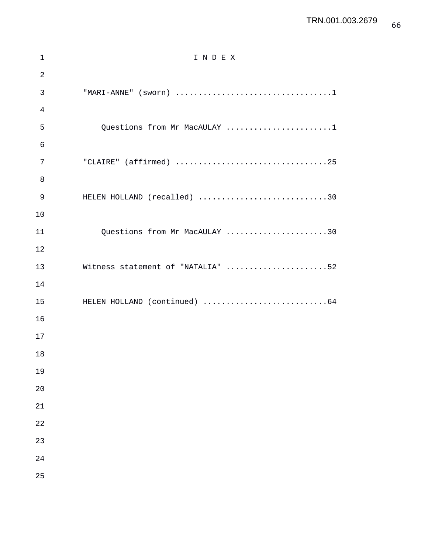| $\mathbf 1$    | INDEX                             |
|----------------|-----------------------------------|
| $\overline{2}$ |                                   |
| 3              |                                   |
| 4              |                                   |
| 5              | Questions from Mr MacAULAY 1      |
| 6              |                                   |
| 7              | "CLAIRE" (affirmed) 25            |
| 8              |                                   |
| 9              | HELEN HOLLAND (recalled) 30       |
| 10             |                                   |
| 11             | Questions from Mr MacAULAY 30     |
| 12             |                                   |
| 13             | Witness statement of "NATALIA" 52 |
| 14             |                                   |
| 15             |                                   |
| 16             |                                   |
| 17             |                                   |
| 18             |                                   |
| 19             |                                   |
| 20             |                                   |
| 21             |                                   |
| 22             |                                   |
| 23             |                                   |
| 24             |                                   |
| 25             |                                   |